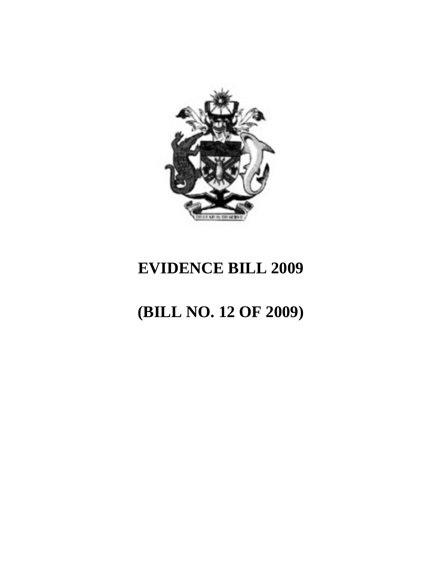

## **EVIDENCE BILL 2009**

# **(BILL NO. 12 OF 2009)**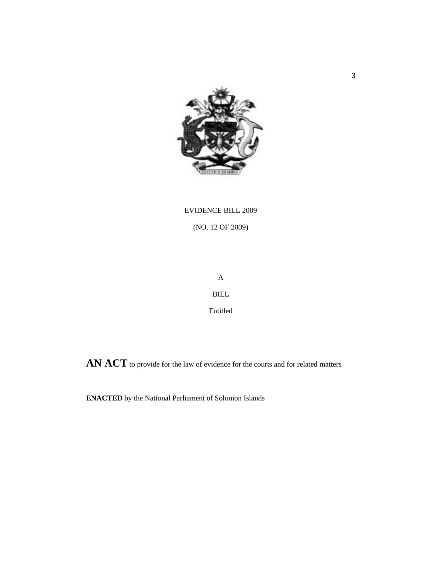

### EVIDENCE BILL 2009

(NO. 12 OF 2009)

A BILL

Entitled

**AN ACT** to provide for the law of evidence for the courts and for related matters

**ENACTED** by the National Parliament of Solomon Islands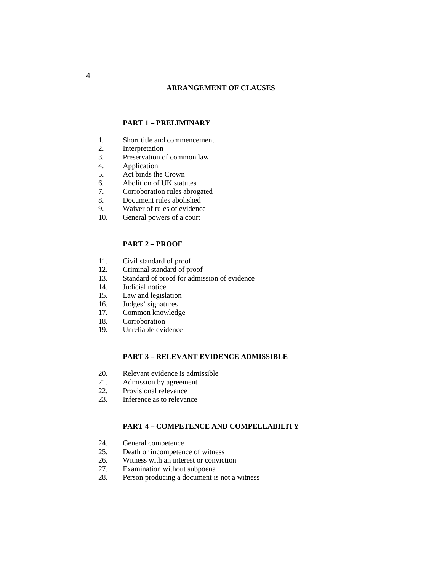#### **ARRANGEMENT OF CLAUSES**

#### **PART 1 – PRELIMINARY**

- 1. Short title and commencement
- 2. Interpretation
- 3. Preservation of common law
- 4. Application
- 5. Act binds the Crown
- 6. Abolition of UK statutes
- 7. Corroboration rules abrogated
- 8. Document rules abolished
- 9. Waiver of rules of evidence
- 10. General powers of a court

#### **PART 2 – PROOF**

- 11. Civil standard of proof<br>12. Criminal standard of pro
- Criminal standard of proof
- 13. Standard of proof for admission of evidence
- 14. Judicial notice
- 15. Law and legislation
- 16. Judges' signatures
- 17. Common knowledge
- 18. Corroboration
- 19. Unreliable evidence

#### **PART 3 – RELEVANT EVIDENCE ADMISSIBLE**

- 20. Relevant evidence is admissible
- 21. Admission by agreement
- 22. Provisional relevance
- 23. Inference as to relevance

#### **PART 4 – COMPETENCE AND COMPELLABILITY**

- 24. General competence
- 25. Death or incompetence of witness
- 26. Witness with an interest or conviction
- 27. Examination without subpoena
- 28. Person producing a document is not a witness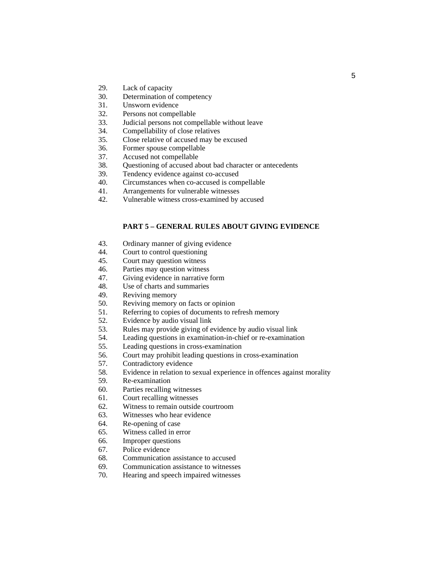- 29. Lack of capacity
- 30. Determination of competency
- 31. Unsworn evidence
- 32. Persons not compellable
- 33. Judicial persons not compellable without leave
- 34. Compellability of close relatives
- 35. Close relative of accused may be excused
- 36. Former spouse compellable
- 37. Accused not compellable
- 38. Questioning of accused about bad character or antecedents
- 39. Tendency evidence against co-accused
- 40. Circumstances when co-accused is compellable
- 41. Arrangements for vulnerable witnesses
- 42. Vulnerable witness cross-examined by accused

#### **PART 5 – GENERAL RULES ABOUT GIVING EVIDENCE**

- 43. Ordinary manner of giving evidence
- 44. Court to control questioning
- 45. Court may question witness
- 46. Parties may question witness
- 47. Giving evidence in narrative form
- 48. Use of charts and summaries
- 49. Reviving memory
- 50. Reviving memory on facts or opinion
- 51. Referring to copies of documents to refresh memory
- 52. Evidence by audio visual link
- 53. Rules may provide giving of evidence by audio visual link
- 54. Leading questions in examination-in-chief or re-examination
- 55. Leading questions in cross-examination
- 56. Court may prohibit leading questions in cross-examination
- 57. Contradictory evidence
- 58. Evidence in relation to sexual experience in offences against morality
- 59. Re-examination
- 60. Parties recalling witnesses
- 61. Court recalling witnesses
- 62. Witness to remain outside courtroom
- 63. Witnesses who hear evidence
- 64. Re-opening of case
- 65. Witness called in error
- 66. Improper questions
- 67. Police evidence
- 68. Communication assistance to accused
- 69. Communication assistance to witnesses
- 70. Hearing and speech impaired witnesses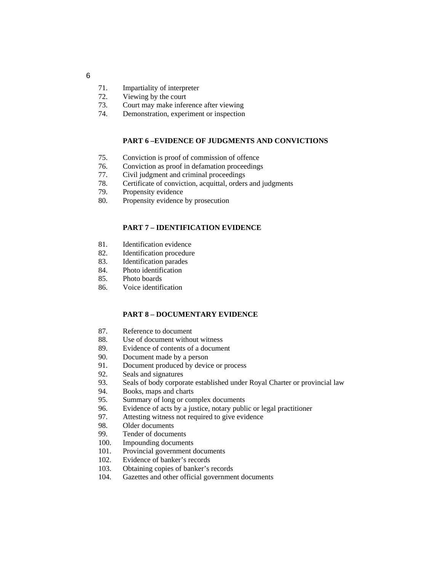- 71. Impartiality of interpreter
- 72. Viewing by the court
- 73. Court may make inference after viewing
- 74. Demonstration, experiment or inspection

#### **PART 6 –EVIDENCE OF JUDGMENTS AND CONVICTIONS**

- 75. Conviction is proof of commission of offence
- 76. Conviction as proof in defamation proceedings
- 77. Civil judgment and criminal proceedings
- 78. Certificate of conviction, acquittal, orders and judgments
- 79. Propensity evidence
- 80. Propensity evidence by prosecution

#### **PART 7 – IDENTIFICATION EVIDENCE**

- 81. Identification evidence
- 82. Identification procedure<br>83. Identification parades
- Identification parades
- 84. Photo identification
- 85. Photo boards
- 86. Voice identification

#### **PART 8 – DOCUMENTARY EVIDENCE**

- 87. Reference to document
- 88. Use of document without witness
- 89. Evidence of contents of a document
- 90. Document made by a person
- 91. Document produced by device or process
- 92. Seals and signatures
- 93. Seals of body corporate established under Royal Charter or provincial law
- 94. Books, maps and charts
- 95. Summary of long or complex documents
- 96. Evidence of acts by a justice, notary public or legal practitioner
- 97. Attesting witness not required to give evidence
- 98. Older documents
- 99. Tender of documents
- 100. Impounding documents
- 101. Provincial government documents
- 102. Evidence of banker's records
- 103. Obtaining copies of banker's records
- 104. Gazettes and other official government documents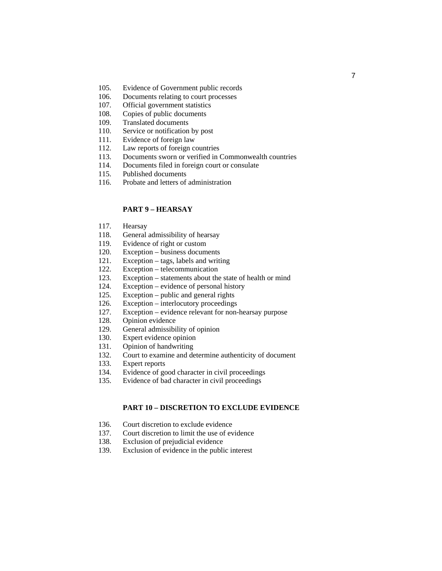- 105. Evidence of Government public records
- 106. Documents relating to court processes
- 107. Official government statistics
- 108. Copies of public documents
- 109. Translated documents
- 110. Service or notification by post
- 111. Evidence of foreign law
- 112. Law reports of foreign countries
- 113. Documents sworn or verified in Commonwealth countries
- 114. Documents filed in foreign court or consulate
- 115. Published documents
- 116. Probate and letters of administration

#### **PART 9 – HEARSAY**

- 117. Hearsay
- 118. General admissibility of hearsay
- 119. Evidence of right or custom
- 120. Exception business documents
- 121. Exception tags, labels and writing
- 122. Exception telecommunication
- 123. Exception statements about the state of health or mind
- 124. Exception evidence of personal history
- 125. Exception public and general rights
- 126. Exception interlocutory proceedings
- 127. Exception evidence relevant for non-hearsay purpose
- 128. Opinion evidence
- 129. General admissibility of opinion
- 130. Expert evidence opinion
- 131. Opinion of handwriting
- 132. Court to examine and determine authenticity of document
- 133. Expert reports
- 134. Evidence of good character in civil proceedings
- 135. Evidence of bad character in civil proceedings

#### **PART 10 – DISCRETION TO EXCLUDE EVIDENCE**

- 136. Court discretion to exclude evidence
- 137. Court discretion to limit the use of evidence
- 138. Exclusion of prejudicial evidence
- 139. Exclusion of evidence in the public interest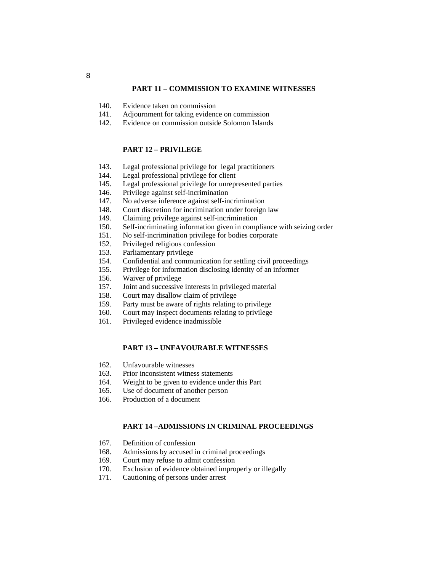#### **PART 11 – COMMISSION TO EXAMINE WITNESSES**

- 140. Evidence taken on commission
- 141. Adjournment for taking evidence on commission
- 142. Evidence on commission outside Solomon Islands

#### **PART 12 – PRIVILEGE**

- 143. Legal professional privilege for legal practitioners
- 144. Legal professional privilege for client
- 145. Legal professional privilege for unrepresented parties
- 146. Privilege against self-incrimination
- 147. No adverse inference against self-incrimination
- 148. Court discretion for incrimination under foreign law
- 149. Claiming privilege against self-incrimination
- 150. Self-incriminating information given in compliance with seizing order
- 151. No self-incrimination privilege for bodies corporate
- 152. Privileged religious confession
- 153. Parliamentary privilege
- 154. Confidential and communication for settling civil proceedings
- 155. Privilege for information disclosing identity of an informer
- 156. Waiver of privilege
- 157. Joint and successive interests in privileged material
- 158. Court may disallow claim of privilege
- 159. Party must be aware of rights relating to privilege
- 160. Court may inspect documents relating to privilege
- 161. Privileged evidence inadmissible

#### **PART 13 – UNFAVOURABLE WITNESSES**

- 162. Unfavourable witnesses
- 163. Prior inconsistent witness statements
- 164. Weight to be given to evidence under this Part
- 165. Use of document of another person
- 166. Production of a document

#### **PART 14 –ADMISSIONS IN CRIMINAL PROCEEDINGS**

- 167. Definition of confession
- 168. Admissions by accused in criminal proceedings
- 169. Court may refuse to admit confession
- 170. Exclusion of evidence obtained improperly or illegally
- 171. Cautioning of persons under arrest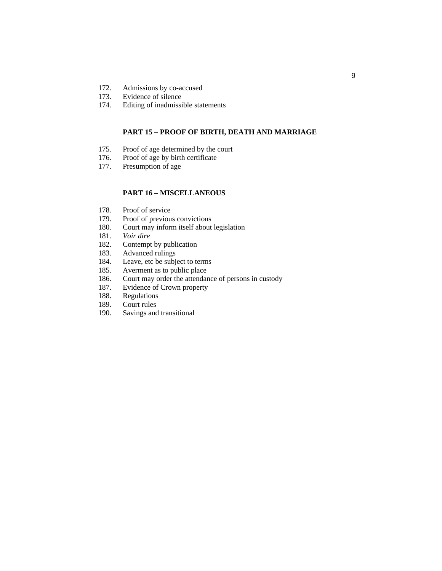- 172. Admissions by co-accused<br>173. Evidence of silence
- Evidence of silence
- 174. Editing of inadmissible statements

#### **PART 15 – PROOF OF BIRTH, DEATH AND MARRIAGE**

- 175. Proof of age determined by the court
- 176. Proof of age by birth certificate
- 177. Presumption of age

#### **PART 16 – MISCELLANEOUS**

- 178. Proof of service
- 179. Proof of previous convictions
- 180. Court may inform itself about legislation
- 181. *Voir dire*
- 182. Contempt by publication
- 183. Advanced rulings<br>184. Leave, etc be subj
- 184. Leave, etc be subject to terms<br>185. Averment as to public place
- Averment as to public place
- 186. Court may order the attendance of persons in custody
- 187. Evidence of Crown property
- 188. Regulations
- 189. Court rules
- 190. Savings and transitional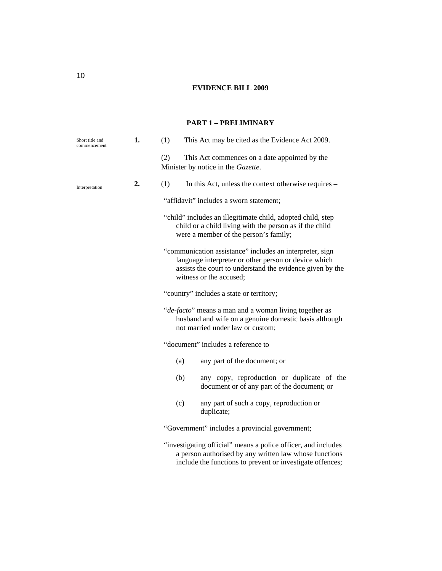### **EVIDENCE BILL 2009**

#### **PART 1 – PRELIMINARY**

| Short title and<br>commencement | 1. | This Act may be cited as the Evidence Act 2009.<br>(1)                                                                                                                                                   |
|---------------------------------|----|----------------------------------------------------------------------------------------------------------------------------------------------------------------------------------------------------------|
|                                 |    | (2)<br>This Act commences on a date appointed by the<br>Minister by notice in the Gazette.                                                                                                               |
| Interpretation                  | 2. | (1)<br>In this Act, unless the context otherwise requires –                                                                                                                                              |
|                                 |    | "affidavit" includes a sworn statement;                                                                                                                                                                  |
|                                 |    | "child" includes an illegitimate child, adopted child, step<br>child or a child living with the person as if the child<br>were a member of the person's family;                                          |
|                                 |    | "communication assistance" includes an interpreter, sign<br>language interpreter or other person or device which<br>assists the court to understand the evidence given by the<br>witness or the accused; |
|                                 |    | "country" includes a state or territory;                                                                                                                                                                 |
|                                 |    | "de-facto" means a man and a woman living together as<br>husband and wife on a genuine domestic basis although<br>not married under law or custom;                                                       |
|                                 |    | "document" includes a reference to -                                                                                                                                                                     |
|                                 |    | (a)<br>any part of the document; or                                                                                                                                                                      |
|                                 |    | any copy, reproduction or duplicate of the<br>(b)<br>document or of any part of the document; or                                                                                                         |
|                                 |    | (c)<br>any part of such a copy, reproduction or<br>duplicate;                                                                                                                                            |
|                                 |    | "Government" includes a provincial government;                                                                                                                                                           |
|                                 |    | "investigating official" means a police officer, and includes<br>a person authorised by any written law whose functions<br>include the functions to prevent or investigate offences;                     |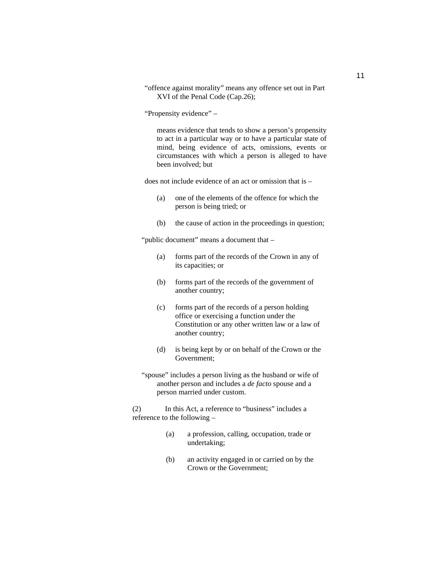"offence against morality" means any offence set out in Part XVI of the Penal Code (Cap.26);

"Propensity evidence" –

means evidence that tends to show a person's propensity to act in a particular way or to have a particular state of mind, being evidence of acts, omissions, events or circumstances with which a person is alleged to have been involved; but

does not include evidence of an act or omission that is –

- (a) one of the elements of the offence for which the person is being tried; or
- (b) the cause of action in the proceedings in question;

"public document" means a document that –

- (a) forms part of the records of the Crown in any of its capacities; or
- (b) forms part of the records of the government of another country;
- (c) forms part of the records of a person holding office or exercising a function under the Constitution or any other written law or a law of another country;
- (d) is being kept by or on behalf of the Crown or the Government;
- "spouse" includes a person living as the husband or wife of another person and includes a *de facto* spouse and a person married under custom.

(2) In this Act, a reference to "business" includes a reference to the following –

- (a) a profession, calling, occupation, trade or undertaking;
- (b) an activity engaged in or carried on by the Crown or the Government;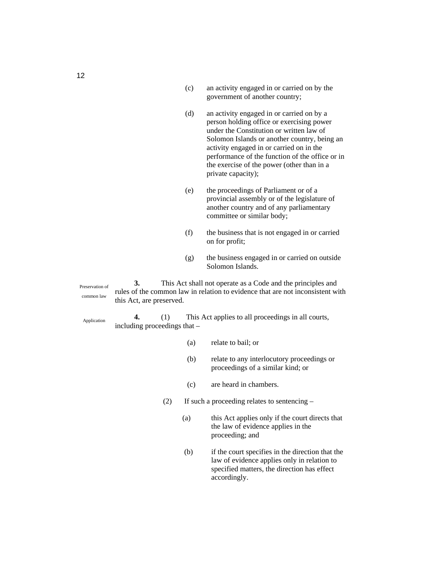- (c) an activity engaged in or carried on by the government of another country;
- (d) an activity engaged in or carried on by a person holding office or exercising power under the Constitution or written law of Solomon Islands or another country, being an activity engaged in or carried on in the performance of the function of the office or in the exercise of the power (other than in a private capacity);
- (e) the proceedings of Parliament or of a provincial assembly or of the legislature of another country and of any parliamentary committee or similar body;
- (f) the business that is not engaged in or carried on for profit;
- (g) the business engaged in or carried on outside Solomon Islands.

Preservation of common law

Application

**3.** This Act shall not operate as a Code and the principles and rules of the common law in relation to evidence that are not inconsistent with this Act, are preserved.

**4.** (1) This Act applies to all proceedings in all courts, including proceedings that –

- (a) relate to bail; or
- (b) relate to any interlocutory proceedings or proceedings of a similar kind; or
- (c) are heard in chambers.
- (2) If such a proceeding relates to sentencing
	- (a) this Act applies only if the court directs that the law of evidence applies in the proceeding; and
	- (b) if the court specifies in the direction that the law of evidence applies only in relation to specified matters, the direction has effect accordingly.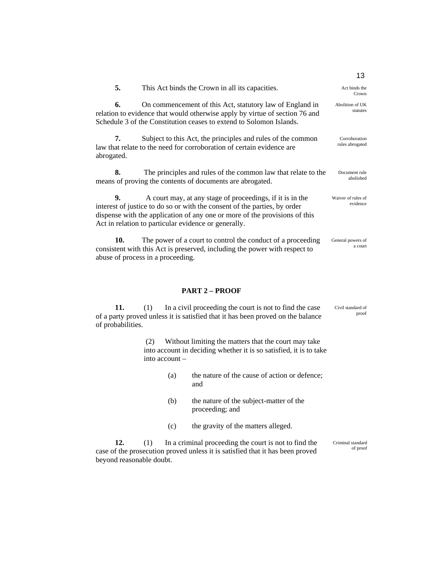|                  |                                                                                                                                                                                                                                                                              | 13                               |
|------------------|------------------------------------------------------------------------------------------------------------------------------------------------------------------------------------------------------------------------------------------------------------------------------|----------------------------------|
| 5.               | This Act binds the Crown in all its capacities.                                                                                                                                                                                                                              | Act binds the<br>Crown           |
| 6.               | On commencement of this Act, statutory law of England in<br>relation to evidence that would otherwise apply by virtue of section 76 and<br>Schedule 3 of the Constitution ceases to extend to Solomon Islands.                                                               | Abolition of UK<br>statutes      |
| 7.<br>abrogated. | Subject to this Act, the principles and rules of the common<br>law that relate to the need for corroboration of certain evidence are                                                                                                                                         | Corroboration<br>rules abrogated |
| 8.               | The principles and rules of the common law that relate to the<br>means of proving the contents of documents are abrogated.                                                                                                                                                   | Document rule<br>abolished       |
| 9.               | A court may, at any stage of proceedings, if it is in the<br>interest of justice to do so or with the consent of the parties, by order<br>dispense with the application of any one or more of the provisions of this<br>Act in relation to particular evidence or generally. | Waiver of rules of<br>evidence   |
| 10.              | The power of a court to control the conduct of a proceeding<br>consistent with this Act is preserved, including the power with respect to                                                                                                                                    | General powers of<br>a court     |

#### **PART 2 – PROOF**

abuse of process in a proceeding.

**11.** (1) In a civil proceeding the court is not to find the case of a party proved unless it is satisfied that it has been proved on the balance of probabilities. Civil standard of

> (2) Without limiting the matters that the court may take into account in deciding whether it is so satisfied, it is to take into account –

> > (a) the nature of the cause of action or defence; and

proof

- (b) the nature of the subject-matter of the proceeding; and
- (c) the gravity of the matters alleged.

**12.** (1) In a criminal proceeding the court is not to find the case of the prosecution proved unless it is satisfied that it has been proved beyond reasonable doubt. Criminal standard of proof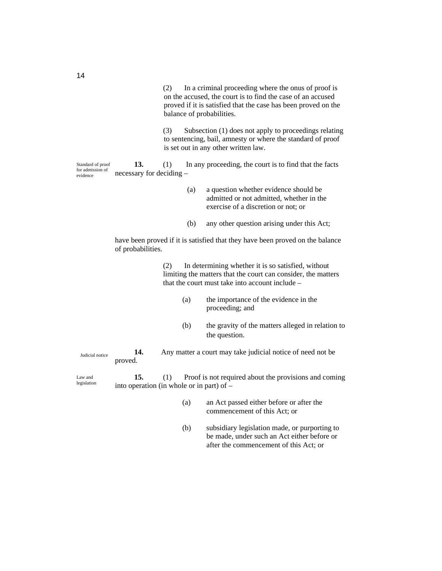(2) In a criminal proceeding where the onus of proof is on the accused, the court is to find the case of an accused proved if it is satisfied that the case has been proved on the balance of probabilities.

(3) Subsection (1) does not apply to proceedings relating to sentencing, bail, amnesty or where the standard of proof is set out in any other written law.

**13.** (1) In any proceeding, the court is to find that the facts necessary for deciding – Standard of proof for admission of evidence

- (a) a question whether evidence should be admitted or not admitted, whether in the exercise of a discretion or not; or
- (b) any other question arising under this Act;

have been proved if it is satisfied that they have been proved on the balance of probabilities.

> (2) In determining whether it is so satisfied, without limiting the matters that the court can consider, the matters that the court must take into account include –

- (a) the importance of the evidence in the proceeding; and
- (b) the gravity of the matters alleged in relation to the question.

**14.** Any matter a court may take judicial notice of need not be proved. Judicial notice

**15.** (1) Proof is not required about the provisions and coming into operation (in whole or in part) of – legislation

- (a) an Act passed either before or after the commencement of this Act; or
- (b) subsidiary legislation made, or purporting to be made, under such an Act either before or after the commencement of this Act; or

14

Law and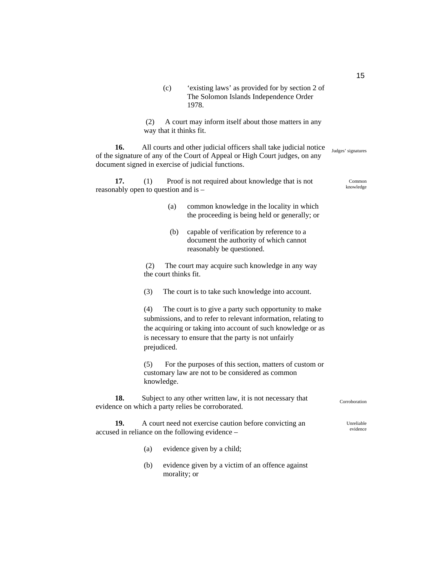(c) 'existing laws' as provided for by section 2 of The Solomon Islands Independence Order 1978.

 (2) A court may inform itself about those matters in any way that it thinks fit.

**16.** All courts and other judicial officers shall take judicial notice of the signature of any of the Court of Appeal or High Court judges, on any document signed in exercise of judicial functions.

**17.** (1) Proof is not required about knowledge that is not reasonably open to question and is –

- (a) common knowledge in the locality in which the proceeding is being held or generally; or
- (b) capable of verification by reference to a document the authority of which cannot reasonably be questioned.

 (2) The court may acquire such knowledge in any way the court thinks fit.

(3) The court is to take such knowledge into account.

(4) The court is to give a party such opportunity to make submissions, and to refer to relevant information, relating to the acquiring or taking into account of such knowledge or as is necessary to ensure that the party is not unfairly prejudiced.

(5) For the purposes of this section, matters of custom or customary law are not to be considered as common knowledge.

**18.** Subject to any other written law, it is not necessary that evidence on which a party relies be corroborated.

**19.** A court need not exercise caution before convicting an accused in reliance on the following evidence –

- (a) evidence given by a child;
- (b) evidence given by a victim of an offence against morality; or

**Corroboration** 

Unreliable evidence

Common knowledge

Judges' signatures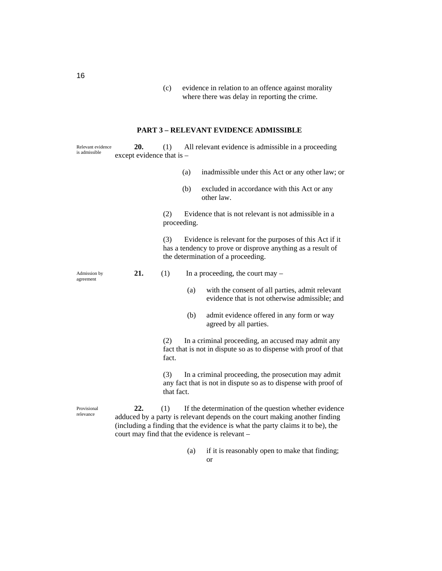(c) evidence in relation to an offence against morality where there was delay in reporting the crime.

#### **PART 3 – RELEVANT EVIDENCE ADMISSIBLE**

| Relevant evidence<br>is admissible | 20.<br>except evidence that is - | (1)               |             | All relevant evidence is admissible in a proceeding                                                                                                                                                                                                                     |
|------------------------------------|----------------------------------|-------------------|-------------|-------------------------------------------------------------------------------------------------------------------------------------------------------------------------------------------------------------------------------------------------------------------------|
|                                    |                                  |                   | (a)         | inadmissible under this Act or any other law; or                                                                                                                                                                                                                        |
|                                    |                                  |                   | (b)         | excluded in accordance with this Act or any<br>other law.                                                                                                                                                                                                               |
|                                    |                                  | (2)               | proceeding. | Evidence that is not relevant is not admissible in a                                                                                                                                                                                                                    |
|                                    |                                  | (3)               |             | Evidence is relevant for the purposes of this Act if it<br>has a tendency to prove or disprove anything as a result of<br>the determination of a proceeding.                                                                                                            |
| Admission by<br>agreement          | 21.                              | (1)               |             | In a proceeding, the court may $-$                                                                                                                                                                                                                                      |
|                                    |                                  |                   | (a)         | with the consent of all parties, admit relevant<br>evidence that is not otherwise admissible; and                                                                                                                                                                       |
|                                    |                                  |                   | (b)         | admit evidence offered in any form or way<br>agreed by all parties.                                                                                                                                                                                                     |
|                                    |                                  | (2)<br>fact.      |             | In a criminal proceeding, an accused may admit any<br>fact that is not in dispute so as to dispense with proof of that                                                                                                                                                  |
|                                    |                                  | (3)<br>that fact. |             | In a criminal proceeding, the prosecution may admit<br>any fact that is not in dispute so as to dispense with proof of                                                                                                                                                  |
| Provisional<br>relevance           | 22.                              | (1)               |             | If the determination of the question whether evidence<br>adduced by a party is relevant depends on the court making another finding<br>(including a finding that the evidence is what the party claims it to be), the<br>court may find that the evidence is relevant - |

(a) if it is reasonably open to make that finding; or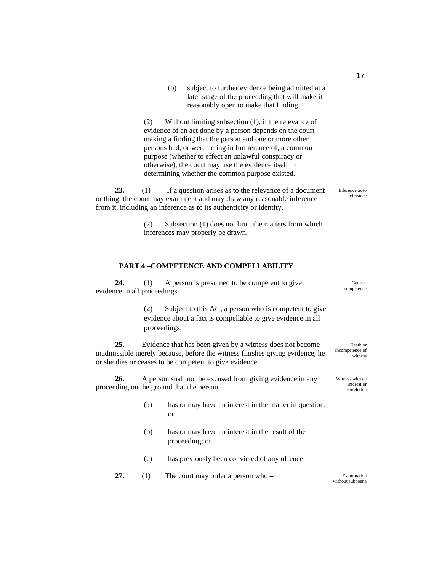|                                                                                                                                                                                                                                                   | (b)                                                                                                                                                                                                                              | subject to further evidence being admitted at a<br>later stage of the proceeding that will make it<br>reasonably open to make that finding.                                    |  |
|---------------------------------------------------------------------------------------------------------------------------------------------------------------------------------------------------------------------------------------------------|----------------------------------------------------------------------------------------------------------------------------------------------------------------------------------------------------------------------------------|--------------------------------------------------------------------------------------------------------------------------------------------------------------------------------|--|
|                                                                                                                                                                                                                                                   | (2)<br>making a finding that the person and one or more other<br>purpose (whether to effect an unlawful conspiracy or<br>otherwise), the court may use the evidence itself in<br>determining whether the common purpose existed. | Without limiting subsection $(1)$ , if the relevance of<br>evidence of an act done by a person depends on the court<br>persons had, or were acting in furtherance of, a common |  |
| <b>23.</b><br>If a question arises as to the relevance of a document<br>(1)<br>Inference as to<br>or thing, the court may examine it and may draw any reasonable inference<br>from it, including an inference as to its authenticity or identity. |                                                                                                                                                                                                                                  |                                                                                                                                                                                |  |
|                                                                                                                                                                                                                                                   | (2)<br>inferences may properly be drawn.                                                                                                                                                                                         | Subsection (1) does not limit the matters from which                                                                                                                           |  |

#### **PART 4 –COMPETENCE AND COMPELLABILITY**

| 24.                                               | A person is presumed to be competent to give<br>(1)<br>evidence in all proceedings. |                                                                                                                                                                                                      |                                        |  |  |
|---------------------------------------------------|-------------------------------------------------------------------------------------|------------------------------------------------------------------------------------------------------------------------------------------------------------------------------------------------------|----------------------------------------|--|--|
|                                                   | (2)                                                                                 | Subject to this Act, a person who is competent to give<br>evidence about a fact is compellable to give evidence in all<br>proceedings.                                                               |                                        |  |  |
| 25.                                               |                                                                                     | Evidence that has been given by a witness does not become<br>inadmissible merely because, before the witness finishes giving evidence, he<br>or she dies or ceases to be competent to give evidence. | Death or<br>incompetence of<br>witness |  |  |
| 26.<br>proceeding on the ground that the person – | A person shall not be excused from giving evidence in any                           | Witness with an<br>interest or<br>conviction                                                                                                                                                         |                                        |  |  |
|                                                   | (a)                                                                                 | has or may have an interest in the matter in question;<br><sub>or</sub>                                                                                                                              |                                        |  |  |
|                                                   | (b)                                                                                 | has or may have an interest in the result of the<br>proceeding; or                                                                                                                                   |                                        |  |  |
|                                                   | (c)                                                                                 | has previously been convicted of any offence.                                                                                                                                                        |                                        |  |  |

**27.** (1) The court may order a person who – Examination without subpoena

17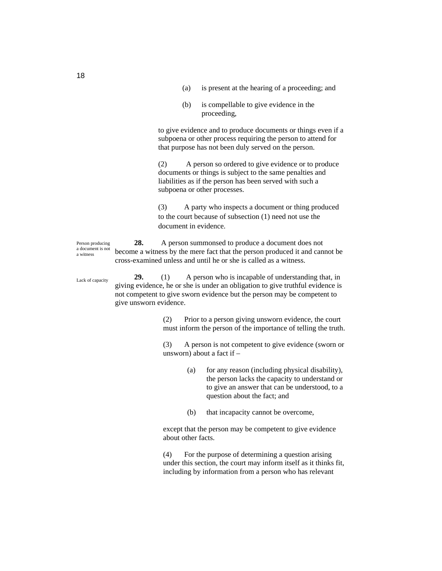- (a) is present at the hearing of a proceeding; and
- (b) is compellable to give evidence in the proceeding,

to give evidence and to produce documents or things even if a subpoena or other process requiring the person to attend for that purpose has not been duly served on the person.

(2) A person so ordered to give evidence or to produce documents or things is subject to the same penalties and liabilities as if the person has been served with such a subpoena or other processes.

(3) A party who inspects a document or thing produced to the court because of subsection (1) need not use the document in evidence.

**28.** A person summonsed to produce a document does not become a witness by the mere fact that the person produced it and cannot be cross-examined unless and until he or she is called as a witness. Person producing a document is not

> **29.** (1) A person who is incapable of understanding that, in giving evidence, he or she is under an obligation to give truthful evidence is not competent to give sworn evidence but the person may be competent to give unsworn evidence.

> > (2) Prior to a person giving unsworn evidence, the court must inform the person of the importance of telling the truth.

> > (3) A person is not competent to give evidence (sworn or unsworn) about a fact if –

- (a) for any reason (including physical disability), the person lacks the capacity to understand or to give an answer that can be understood, to a question about the fact; and
- (b) that incapacity cannot be overcome,

except that the person may be competent to give evidence about other facts.

(4) For the purpose of determining a question arising under this section, the court may inform itself as it thinks fit, including by information from a person who has relevant

Lack of capacity

a witness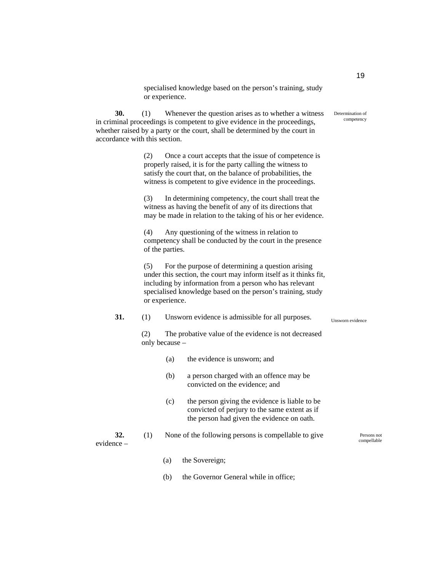specialised knowledge based on the person's training, study or experience.

**30.** (1) Whenever the question arises as to whether a witness in criminal proceedings is competent to give evidence in the proceedings, whether raised by a party or the court, shall be determined by the court in accordance with this section.

> (2) Once a court accepts that the issue of competence is properly raised, it is for the party calling the witness to satisfy the court that, on the balance of probabilities, the witness is competent to give evidence in the proceedings.

(3) In determining competency, the court shall treat the witness as having the benefit of any of its directions that may be made in relation to the taking of his or her evidence.

(4) Any questioning of the witness in relation to competency shall be conducted by the court in the presence of the parties.

(5) For the purpose of determining a question arising under this section, the court may inform itself as it thinks fit, including by information from a person who has relevant specialised knowledge based on the person's training, study or experience.

#### **31.** (1) Unsworn evidence is admissible for all purposes.

(2) The probative value of the evidence is not decreased only because –

- (a) the evidence is unsworn; and
- (b) a person charged with an offence may be convicted on the evidence; and
- (c) the person giving the evidence is liable to be convicted of perjury to the same extent as if the person had given the evidence on oath.

**32.** (1) None of the following persons is compellable to give evidence –

- (a) the Sovereign;
- (b) the Governor General while in office;

19

Determination of competency

Unsworn evidence

Persons not compellable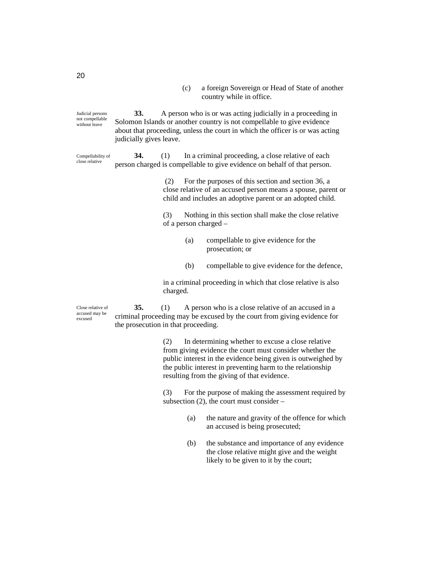(c) a foreign Sovereign or Head of State of another country while in office.

**33.** A person who is or was acting judicially in a proceeding in Solomon Islands or another country is not compellable to give evidence about that proceeding, unless the court in which the officer is or was acting judicially gives leave. Judicial persons not compellable without leave

Compellability of close relative

**34.** (1) In a criminal proceeding, a close relative of each person charged is compellable to give evidence on behalf of that person.

> (2) For the purposes of this section and section 36, a close relative of an accused person means a spouse, parent or child and includes an adoptive parent or an adopted child.

(3) Nothing in this section shall make the close relative of a person charged –

- (a) compellable to give evidence for the prosecution; or
- (b) compellable to give evidence for the defence,

in a criminal proceeding in which that close relative is also charged.

Close relative of accused may be excused

**35.** (1) A person who is a close relative of an accused in a criminal proceeding may be excused by the court from giving evidence for the prosecution in that proceeding.

> (2) In determining whether to excuse a close relative from giving evidence the court must consider whether the public interest in the evidence being given is outweighed by the public interest in preventing harm to the relationship resulting from the giving of that evidence.

(3) For the purpose of making the assessment required by subsection (2), the court must consider –

- (a) the nature and gravity of the offence for which an accused is being prosecuted;
- (b) the substance and importance of any evidence the close relative might give and the weight likely to be given to it by the court;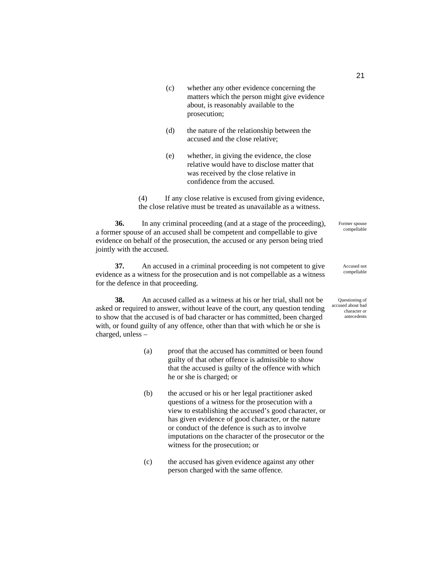- (c) whether any other evidence concerning the matters which the person might give evidence about, is reasonably available to the prosecution;
- (d) the nature of the relationship between the accused and the close relative;
- (e) whether, in giving the evidence, the close relative would have to disclose matter that was received by the close relative in confidence from the accused.

(4) If any close relative is excused from giving evidence, the close relative must be treated as unavailable as a witness.

**36.** In any criminal proceeding (and at a stage of the proceeding), a former spouse of an accused shall be competent and compellable to give evidence on behalf of the prosecution, the accused or any person being tried jointly with the accused.

**37.** An accused in a criminal proceeding is not competent to give evidence as a witness for the prosecution and is not compellable as a witness for the defence in that proceeding.

**38.** An accused called as a witness at his or her trial, shall not be asked or required to answer, without leave of the court, any question tending to show that the accused is of bad character or has committed, been charged with, or found guilty of any offence, other than that with which he or she is charged, unless –

- (a) proof that the accused has committed or been found guilty of that other offence is admissible to show that the accused is guilty of the offence with which he or she is charged; or
- (b) the accused or his or her legal practitioner asked questions of a witness for the prosecution with a view to establishing the accused's good character, or has given evidence of good character, or the nature or conduct of the defence is such as to involve imputations on the character of the prosecutor or the witness for the prosecution; or
- (c) the accused has given evidence against any other person charged with the same offence.

Former spouse compellable

> Accused not compellable

Questioning of accused about bad character or antecedents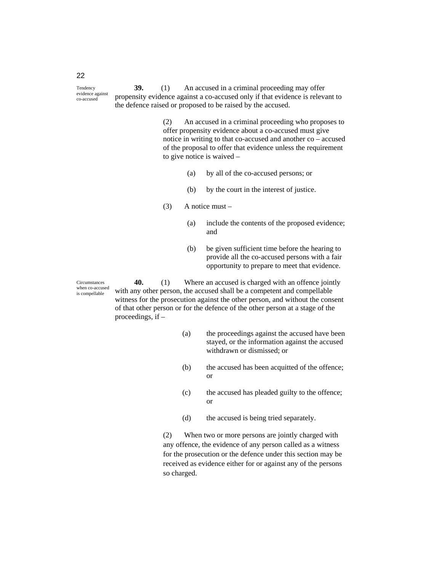**39.** (1) An accused in a criminal proceeding may offer propensity evidence against a co-accused only if that evidence is relevant to the defence raised or proposed to be raised by the accused. evidence against

> (2) An accused in a criminal proceeding who proposes to offer propensity evidence about a co-accused must give notice in writing to that co-accused and another co – accused of the proposal to offer that evidence unless the requirement to give notice is waived –

- (a) by all of the co-accused persons; or
- (b) by the court in the interest of justice.
- (3) A notice must
	- (a) include the contents of the proposed evidence; and
	- (b) be given sufficient time before the hearing to provide all the co-accused persons with a fair opportunity to prepare to meet that evidence.

Circumstances when co-accused is compellable

**40.** (1) Where an accused is charged with an offence jointly with any other person, the accused shall be a competent and compellable witness for the prosecution against the other person, and without the consent of that other person or for the defence of the other person at a stage of the proceedings, if –

- (a) the proceedings against the accused have been stayed, or the information against the accused withdrawn or dismissed; or
- (b) the accused has been acquitted of the offence; or
- (c) the accused has pleaded guilty to the offence; or
- (d) the accused is being tried separately.

(2) When two or more persons are jointly charged with any offence, the evidence of any person called as a witness for the prosecution or the defence under this section may be received as evidence either for or against any of the persons so charged.

22

Tendency

co-accused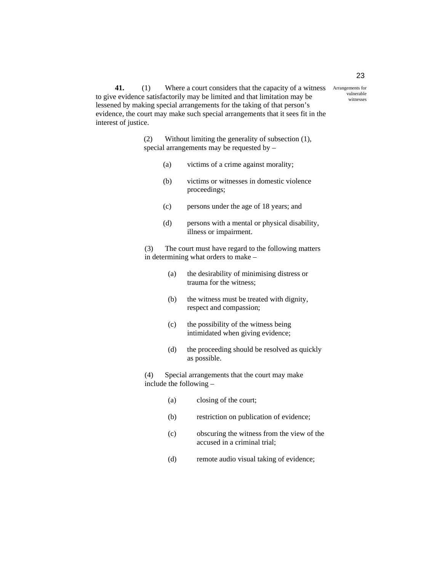41. (1) Where a court considers that the capacity of a witness Arrangements for to give evidence satisfactorily may be limited and that limitation may be lessened by making special arrangements for the taking of that person's evidence, the court may make such special arrangements that it sees fit in the interest of justice.

> (2) Without limiting the generality of subsection (1), special arrangements may be requested by –

- (a) victims of a crime against morality;
- (b) victims or witnesses in domestic violence proceedings;
- (c) persons under the age of 18 years; and
- (d) persons with a mental or physical disability, illness or impairment.

(3) The court must have regard to the following matters in determining what orders to make –

- (a) the desirability of minimising distress or trauma for the witness;
- (b) the witness must be treated with dignity, respect and compassion;
- (c) the possibility of the witness being intimidated when giving evidence;
- (d) the proceeding should be resolved as quickly as possible.

(4) Special arrangements that the court may make include the following –

- (a) closing of the court;
- (b) restriction on publication of evidence;
- (c) obscuring the witness from the view of the accused in a criminal trial;
- (d) remote audio visual taking of evidence;

vulnerable witnesses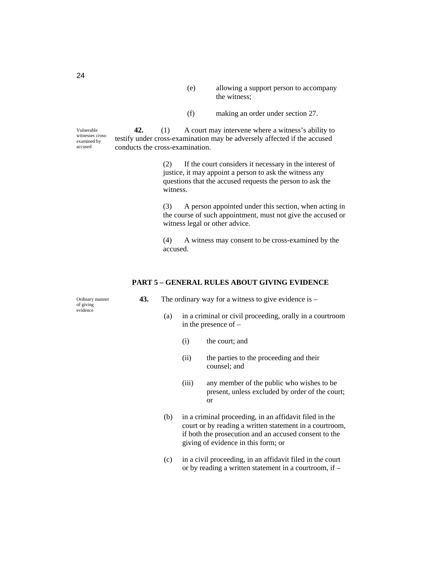- (e) allowing a support person to accompany the witness;
- (f) making an order under section 27.

**42.** (1) A court may intervene where a witness's ability to testify under cross-examination may be adversely affected if the accused conducts the cross-examination. Vulnerable witnesses crossexamined by

> (2) If the court considers it necessary in the interest of justice, it may appoint a person to ask the witness any questions that the accused requests the person to ask the witness.

(3) A person appointed under this section, when acting in the course of such appointment, must not give the accused or witness legal or other advice.

(4) A witness may consent to be cross-examined by the accused.

#### **PART 5 – GENERAL RULES ABOUT GIVING EVIDENCE**

- **43.** The ordinary way for a witness to give evidence is
	- (a) in a criminal or civil proceeding, orally in a courtroom in the presence of –
		- (i) the court; and
		- (ii) the parties to the proceeding and their counsel; and
		- (iii) any member of the public who wishes to be present, unless excluded by order of the court; or
	- (b) in a criminal proceeding, in an affidavit filed in the court or by reading a written statement in a courtroom, if both the prosecution and an accused consent to the giving of evidence in this form; or
	- (c) in a civil proceeding, in an affidavit filed in the court or by reading a written statement in a courtroom, if –

Ordinary manner of giving evidence

24

accused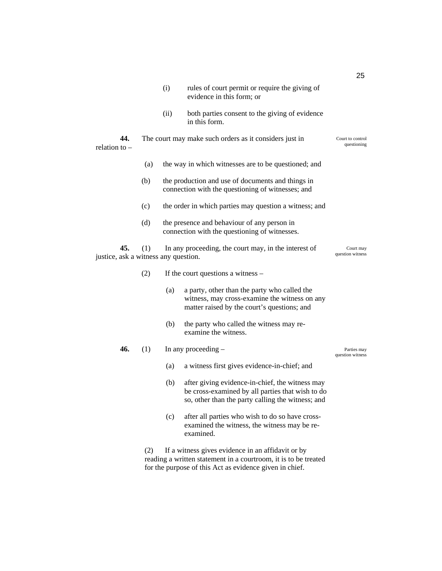| relation to $-$                      | 44. |     | (ii) | both parties consent to the giving of evidence<br>in this form.<br>The court may make such orders as it considers just in                                | Court to control<br>questioning |
|--------------------------------------|-----|-----|------|----------------------------------------------------------------------------------------------------------------------------------------------------------|---------------------------------|
|                                      |     | (a) |      | the way in which witnesses are to be questioned; and                                                                                                     |                                 |
|                                      |     | (b) |      | the production and use of documents and things in<br>connection with the questioning of witnesses; and                                                   |                                 |
|                                      |     | (c) |      | the order in which parties may question a witness; and                                                                                                   |                                 |
|                                      |     | (d) |      | the presence and behaviour of any person in<br>connection with the questioning of witnesses.                                                             |                                 |
| justice, ask a witness any question. | 45. | (1) |      | In any proceeding, the court may, in the interest of                                                                                                     | Court may<br>question witness   |
|                                      |     | (2) |      | If the court questions a witness –                                                                                                                       |                                 |
|                                      |     |     | (a)  | a party, other than the party who called the<br>witness, may cross-examine the witness on any<br>matter raised by the court's questions; and             |                                 |
|                                      |     |     | (b)  | the party who called the witness may re-<br>examine the witness.                                                                                         |                                 |
|                                      | 46. | (1) |      | In any proceeding $-$                                                                                                                                    | Parties may<br>question witness |
|                                      |     |     | (a)  | a witness first gives evidence-in-chief; and                                                                                                             |                                 |
|                                      |     |     | (b)  | after giving evidence-in-chief, the witness may<br>be cross-examined by all parties that wish to do<br>so, other than the party calling the witness; and |                                 |
|                                      |     |     | (c)  | after all parties who wish to do so have cross-<br>examined the witness, the witness may be re-<br>examined.                                             |                                 |

(i) rules of court permit or require the giving of

evidence in this form; or

(2) If a witness gives evidence in an affidavit or by reading a written statement in a courtroom, it is to be treated for the purpose of this Act as evidence given in chief.

25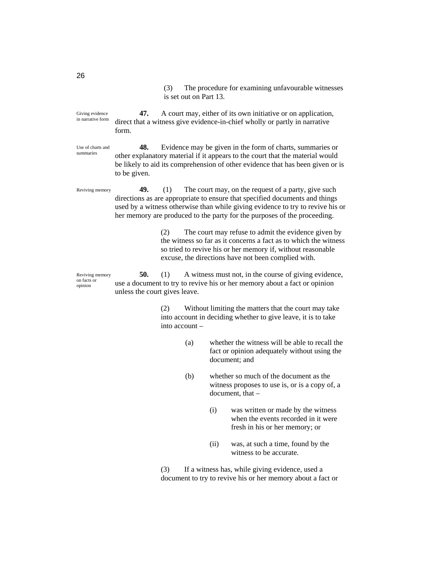(3) The procedure for examining unfavourable witnesses is set out on Part 13.

**47.** A court may, either of its own initiative or on application, direct that a witness give evidence-in-chief wholly or partly in narrative form. Giving evidence in narrative form

**48.** Evidence may be given in the form of charts, summaries or other explanatory material if it appears to the court that the material would be likely to aid its comprehension of other evidence that has been given or is to be given. Use of charts and summaries

**49.** (1) The court may, on the request of a party, give such directions as are appropriate to ensure that specified documents and things used by a witness otherwise than while giving evidence to try to revive his or her memory are produced to the party for the purposes of the proceeding. Reviving memory

> (2) The court may refuse to admit the evidence given by the witness so far as it concerns a fact as to which the witness so tried to revive his or her memory if, without reasonable excuse, the directions have not been complied with.

**50.** (1) A witness must not, in the course of giving evidence, use a document to try to revive his or her memory about a fact or opinion unless the court gives leave. Reviving memory on facts or opinion

> (2) Without limiting the matters that the court may take into account in deciding whether to give leave, it is to take into account –

- (a) whether the witness will be able to recall the fact or opinion adequately without using the document; and
- (b) whether so much of the document as the witness proposes to use is, or is a copy of, a document, that –
	- (i) was written or made by the witness when the events recorded in it were fresh in his or her memory; or
	- (ii) was, at such a time, found by the witness to be accurate.

(3) If a witness has, while giving evidence, used a document to try to revive his or her memory about a fact or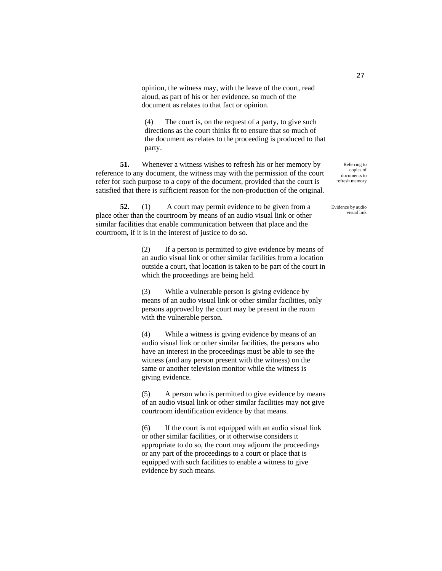opinion, the witness may, with the leave of the court, read aloud, as part of his or her evidence, so much of the document as relates to that fact or opinion.

(4) The court is, on the request of a party, to give such directions as the court thinks fit to ensure that so much of the document as relates to the proceeding is produced to that party.

**51.** Whenever a witness wishes to refresh his or her memory by reference to any document, the witness may with the permission of the court refer for such purpose to a copy of the document, provided that the court is satisfied that there is sufficient reason for the non-production of the original.

**52.** (1) A court may permit evidence to be given from a place other than the courtroom by means of an audio visual link or other similar facilities that enable communication between that place and the courtroom, if it is in the interest of justice to do so.

> (2) If a person is permitted to give evidence by means of an audio visual link or other similar facilities from a location outside a court, that location is taken to be part of the court in which the proceedings are being held.

(3) While a vulnerable person is giving evidence by means of an audio visual link or other similar facilities, only persons approved by the court may be present in the room with the vulnerable person.

(4) While a witness is giving evidence by means of an audio visual link or other similar facilities, the persons who have an interest in the proceedings must be able to see the witness (and any person present with the witness) on the same or another television monitor while the witness is giving evidence.

(5) A person who is permitted to give evidence by means of an audio visual link or other similar facilities may not give courtroom identification evidence by that means.

(6) If the court is not equipped with an audio visual link or other similar facilities, or it otherwise considers it appropriate to do so, the court may adjourn the proceedings or any part of the proceedings to a court or place that is equipped with such facilities to enable a witness to give evidence by such means.

Referring to copies of documents to refresh memory

Evidence by audio visual link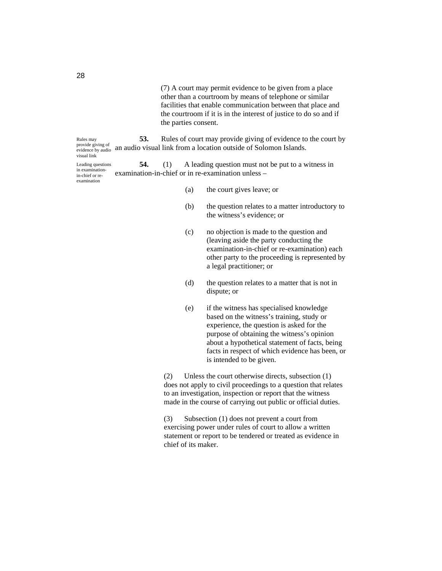(7) A court may permit evidence to be given from a place other than a courtroom by means of telephone or similar facilities that enable communication between that place and the courtroom if it is in the interest of justice to do so and if the parties consent.

**53.** Rules of court may provide giving of evidence to the court by provide giving of an audio visual link from a location outside of Solomon Islands. Rules may visual link

**54.** (1) A leading question must not be put to a witness in examination-in-chief or in re-examination unless – Leading questions in examinationin-chief or reexamination

- (a) the court gives leave; or
- (b) the question relates to a matter introductory to the witness's evidence; or
- (c) no objection is made to the question and (leaving aside the party conducting the examination-in-chief or re-examination) each other party to the proceeding is represented by a legal practitioner; or
- (d) the question relates to a matter that is not in dispute; or
- (e) if the witness has specialised knowledge based on the witness's training, study or experience, the question is asked for the purpose of obtaining the witness's opinion about a hypothetical statement of facts, being facts in respect of which evidence has been, or is intended to be given.

(2) Unless the court otherwise directs, subsection (1) does not apply to civil proceedings to a question that relates to an investigation, inspection or report that the witness made in the course of carrying out public or official duties.

(3) Subsection (1) does not prevent a court from exercising power under rules of court to allow a written statement or report to be tendered or treated as evidence in chief of its maker.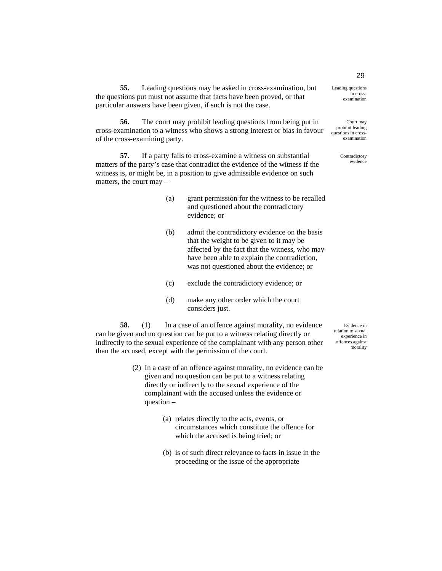**55.** Leading questions may be asked in cross-examination, but the questions put must not assume that facts have been proved, or that particular answers have been given, if such is not the case.

**56.** The court may prohibit leading questions from being put in cross-examination to a witness who shows a strong interest or bias in favour of the cross-examining party.

**57.** If a party fails to cross-examine a witness on substantial matters of the party's case that contradict the evidence of the witness if the witness is, or might be, in a position to give admissible evidence on such matters, the court may –

- (a) grant permission for the witness to be recalled and questioned about the contradictory evidence; or
- (b) admit the contradictory evidence on the basis that the weight to be given to it may be affected by the fact that the witness, who may have been able to explain the contradiction, was not questioned about the evidence; or
- (c) exclude the contradictory evidence; or
- (d) make any other order which the court considers just.

**58.** (1) In a case of an offence against morality, no evidence can be given and no question can be put to a witness relating directly or indirectly to the sexual experience of the complainant with any person other than the accused, except with the permission of the court.

- (2) In a case of an offence against morality, no evidence can be given and no question can be put to a witness relating directly or indirectly to the sexual experience of the complainant with the accused unless the evidence or question –
	- (a) relates directly to the acts, events, or circumstances which constitute the offence for which the accused is being tried; or
	- (b) is of such direct relevance to facts in issue in the proceeding or the issue of the appropriate

Evidence in relation to sexual experience in offences against morality

in crossexamination

Leading questions

Court may prohibit leading questions in crossexamination

> Contradictory evidence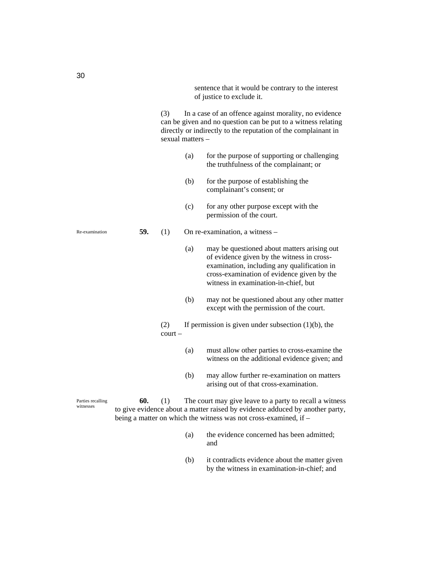sentence that it would be contrary to the interest of justice to exclude it.

(3) In a case of an offence against morality, no evidence can be given and no question can be put to a witness relating directly or indirectly to the reputation of the complainant in sexual matters –

- (a) for the purpose of supporting or challenging the truthfulness of the complainant; or
- (b) for the purpose of establishing the complainant's consent; or
- (c) for any other purpose except with the permission of the court.

**59.** (1) On re-examination, a witness –

- (a) may be questioned about matters arising out of evidence given by the witness in crossexamination, including any qualification in cross-examination of evidence given by the witness in examination-in-chief, but
- (b) may not be questioned about any other matter except with the permission of the court.
- (2) If permission is given under subsection  $(1)(b)$ , the court –
	- (a) must allow other parties to cross-examine the witness on the additional evidence given; and
	- (b) may allow further re-examination on matters arising out of that cross-examination.

**60.** (1) The court may give leave to a party to recall a witness to give evidence about a matter raised by evidence adduced by another party, being a matter on which the witness was not cross-examined, if –

- (a) the evidence concerned has been admitted; and
- (b) it contradicts evidence about the matter given by the witness in examination-in-chief; and

Re-examination

Parties recalling witnesses

30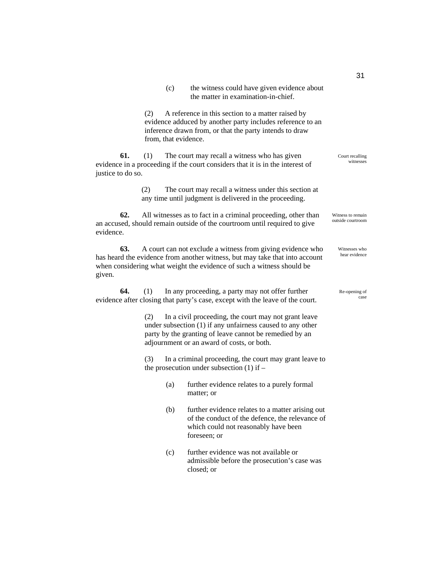| (c) | the witness could have given evidence about |
|-----|---------------------------------------------|
|     | the matter in examination-in-chief.         |

(2) A reference in this section to a matter raised by evidence adduced by another party includes reference to an inference drawn from, or that the party intends to draw from, that evidence.

**61.** (1) The court may recall a witness who has given evidence in a proceeding if the court considers that it is in the interest of justice to do so.

> (2) The court may recall a witness under this section at any time until judgment is delivered in the proceeding.

**62.** All witnesses as to fact in a criminal proceeding, other than an accused, should remain outside of the courtroom until required to give evidence.

**63.** A court can not exclude a witness from giving evidence who has heard the evidence from another witness, but may take that into account when considering what weight the evidence of such a witness should be given.

**64.** (1) In any proceeding, a party may not offer further evidence after closing that party's case, except with the leave of the court.

> (2) In a civil proceeding, the court may not grant leave under subsection (1) if any unfairness caused to any other party by the granting of leave cannot be remedied by an adjournment or an award of costs, or both.

(3) In a criminal proceeding, the court may grant leave to the prosecution under subsection (1) if –

- (a) further evidence relates to a purely formal matter; or
- (b) further evidence relates to a matter arising out of the conduct of the defence, the relevance of which could not reasonably have been foreseen; or
- (c) further evidence was not available or admissible before the prosecution's case was closed; or

Court recalling witnesses

Witness to remain outside courtroom

> Witnesses who hear evidence

#### Re-opening of case

31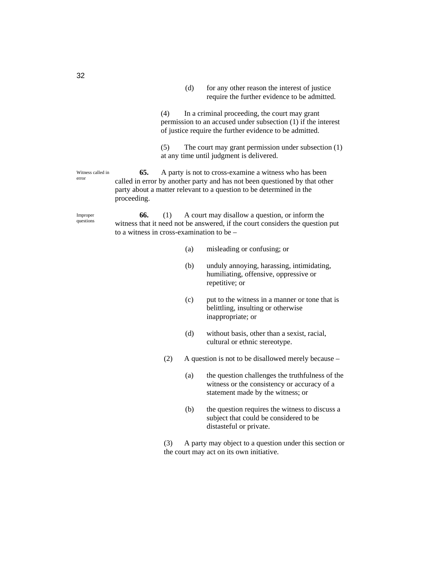(d) for any other reason the interest of justice require the further evidence to be admitted.

(4) In a criminal proceeding, the court may grant permission to an accused under subsection (1) if the interest of justice require the further evidence to be admitted.

(5) The court may grant permission under subsection (1) at any time until judgment is delivered.

**65.** A party is not to cross-examine a witness who has been called in error by another party and has not been questioned by that other party about a matter relevant to a question to be determined in the proceeding. Witness called in error

Improper questions

**66.** (1) A court may disallow a question, or inform the witness that it need not be answered, if the court considers the question put to a witness in cross-examination to be –

- (a) misleading or confusing; or
- (b) unduly annoying, harassing, intimidating, humiliating, offensive, oppressive or repetitive; or
- (c) put to the witness in a manner or tone that is belittling, insulting or otherwise inappropriate; or
- (d) without basis, other than a sexist, racial, cultural or ethnic stereotype.
- (2) A question is not to be disallowed merely because
	- (a) the question challenges the truthfulness of the witness or the consistency or accuracy of a statement made by the witness; or
	- (b) the question requires the witness to discuss a subject that could be considered to be distasteful or private.

(3) A party may object to a question under this section or the court may act on its own initiative.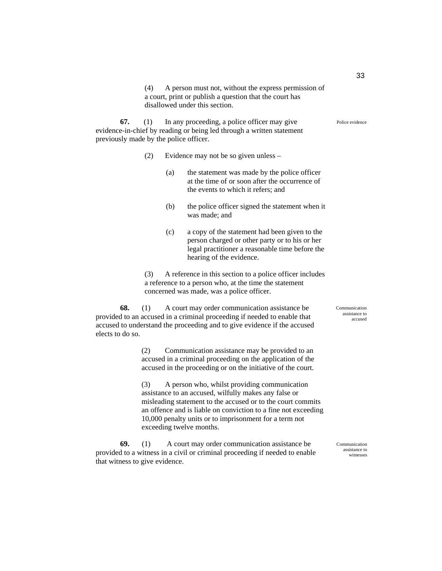(4) A person must not, without the express permission of a court, print or publish a question that the court has disallowed under this section.

**67.** (1) In any proceeding, a police officer may give evidence-in-chief by reading or being led through a written statement previously made by the police officer.

- (2) Evidence may not be so given unless
	- (a) the statement was made by the police officer at the time of or soon after the occurrence of the events to which it refers; and
	- (b) the police officer signed the statement when it was made; and
	- (c) a copy of the statement had been given to the person charged or other party or to his or her legal practitioner a reasonable time before the hearing of the evidence.

(3) A reference in this section to a police officer includes a reference to a person who, at the time the statement concerned was made, was a police officer.

**68.** (1) A court may order communication assistance be provided to an accused in a criminal proceeding if needed to enable that accused to understand the proceeding and to give evidence if the accused elects to do so.

> (2) Communication assistance may be provided to an accused in a criminal proceeding on the application of the accused in the proceeding or on the initiative of the court.

(3) A person who, whilst providing communication assistance to an accused, wilfully makes any false or misleading statement to the accused or to the court commits an offence and is liable on conviction to a fine not exceeding 10,000 penalty units or to imprisonment for a term not exceeding twelve months.

**69.** (1) A court may order communication assistance be provided to a witness in a civil or criminal proceeding if needed to enable that witness to give evidence.

Communication assistance to accused

Communication assistance to witnesses

Police evidence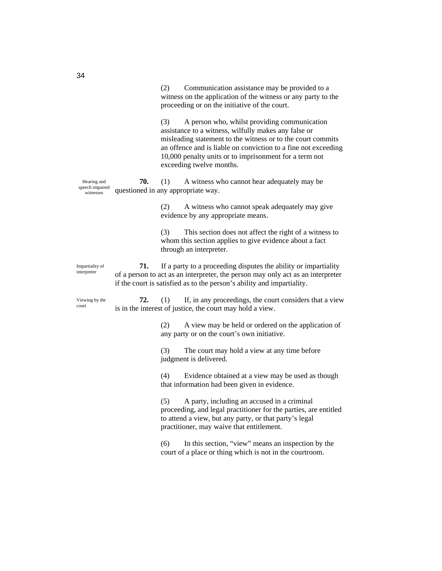|                                             |     | Communication assistance may be provided to a<br>(2)<br>witness on the application of the witness or any party to the<br>proceeding or on the initiative of the court.                                                                                                                                                             |
|---------------------------------------------|-----|------------------------------------------------------------------------------------------------------------------------------------------------------------------------------------------------------------------------------------------------------------------------------------------------------------------------------------|
|                                             |     | A person who, whilst providing communication<br>(3)<br>assistance to a witness, wilfully makes any false or<br>misleading statement to the witness or to the court commits<br>an offence and is liable on conviction to a fine not exceeding<br>10,000 penalty units or to imprisonment for a term not<br>exceeding twelve months. |
| Hearing and<br>speech impaired<br>witnesses | 70. | A witness who cannot hear adequately may be<br>(1)<br>questioned in any appropriate way.                                                                                                                                                                                                                                           |
|                                             |     | A witness who cannot speak adequately may give<br>(2)<br>evidence by any appropriate means.                                                                                                                                                                                                                                        |
|                                             |     | This section does not affect the right of a witness to<br>(3)<br>whom this section applies to give evidence about a fact<br>through an interpreter.                                                                                                                                                                                |
| Impartiality of<br>interpreter              | 71. | If a party to a proceeding disputes the ability or impartiality<br>of a person to act as an interpreter, the person may only act as an interpreter<br>if the court is satisfied as to the person's ability and impartiality.                                                                                                       |
| Viewing by the<br>court                     | 72. | If, in any proceedings, the court considers that a view<br>(1)<br>is in the interest of justice, the court may hold a view.                                                                                                                                                                                                        |
|                                             |     | (2)<br>A view may be held or ordered on the application of<br>any party or on the court's own initiative.                                                                                                                                                                                                                          |
|                                             |     | (3)<br>The court may hold a view at any time before<br>judgment is delivered.                                                                                                                                                                                                                                                      |
|                                             |     | (4)<br>Evidence obtained at a view may be used as though<br>that information had been given in evidence.                                                                                                                                                                                                                           |
|                                             |     | (5) A party, including an accused in a criminal<br>proceeding, and legal practitioner for the parties, are entitled<br>to attend a view, but any party, or that party's legal<br>practitioner, may waive that entitlement.                                                                                                         |
|                                             |     | In this section, "view" means an inspection by the<br>(6)<br>court of a place or thing which is not in the courtroom.                                                                                                                                                                                                              |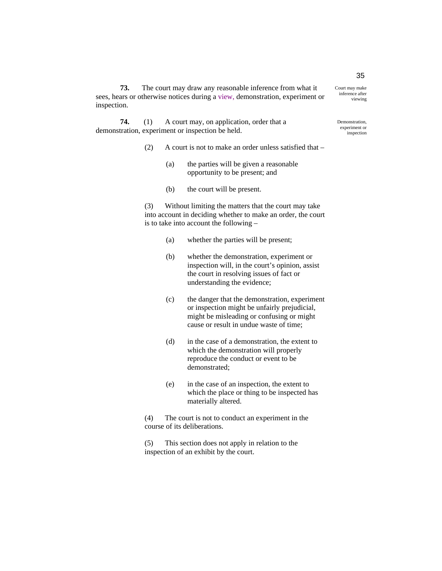**73.** The court may draw any reasonable inference from what it sees, hears or otherwise notices during a view, demonstration, experiment or inspection.

**74.** (1) A court may, on application, order that a demonstration, experiment or inspection be held.

- (2) A court is not to make an order unless satisfied that
	- (a) the parties will be given a reasonable opportunity to be present; and
	- (b) the court will be present.

(3) Without limiting the matters that the court may take into account in deciding whether to make an order, the court is to take into account the following –

- (a) whether the parties will be present;
- (b) whether the demonstration, experiment or inspection will, in the court's opinion, assist the court in resolving issues of fact or understanding the evidence;
- (c) the danger that the demonstration, experiment or inspection might be unfairly prejudicial, might be misleading or confusing or might cause or result in undue waste of time;
- (d) in the case of a demonstration, the extent to which the demonstration will properly reproduce the conduct or event to be demonstrated;
- (e) in the case of an inspection, the extent to which the place or thing to be inspected has materially altered.

(4) The court is not to conduct an experiment in the course of its deliberations.

(5) This section does not apply in relation to the inspection of an exhibit by the court.

35

inference after viewing

Court may make

Demonstration, experiment or inspection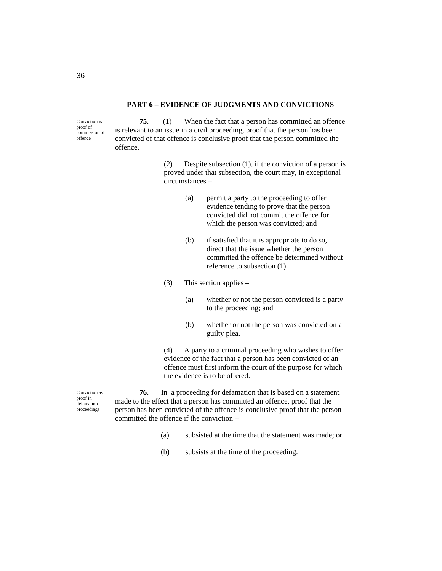#### **PART 6 – EVIDENCE OF JUDGMENTS AND CONVICTIONS**

Conviction is proof of commission of offence

**75.** (1) When the fact that a person has committed an offence is relevant to an issue in a civil proceeding, proof that the person has been convicted of that offence is conclusive proof that the person committed the offence.

> (2) Despite subsection (1), if the conviction of a person is proved under that subsection, the court may, in exceptional circumstances –

- (a) permit a party to the proceeding to offer evidence tending to prove that the person convicted did not commit the offence for which the person was convicted; and
- (b) if satisfied that it is appropriate to do so, direct that the issue whether the person committed the offence be determined without reference to subsection (1).
- $(3)$  This section applies
	- (a) whether or not the person convicted is a party to the proceeding; and
	- (b) whether or not the person was convicted on a guilty plea.

(4) A party to a criminal proceeding who wishes to offer evidence of the fact that a person has been convicted of an offence must first inform the court of the purpose for which the evidence is to be offered.

Conviction as proof in defamation proceedings

**76.** In a proceeding for defamation that is based on a statement made to the effect that a person has committed an offence, proof that the person has been convicted of the offence is conclusive proof that the person committed the offence if the conviction –

- (a) subsisted at the time that the statement was made; or
- (b) subsists at the time of the proceeding.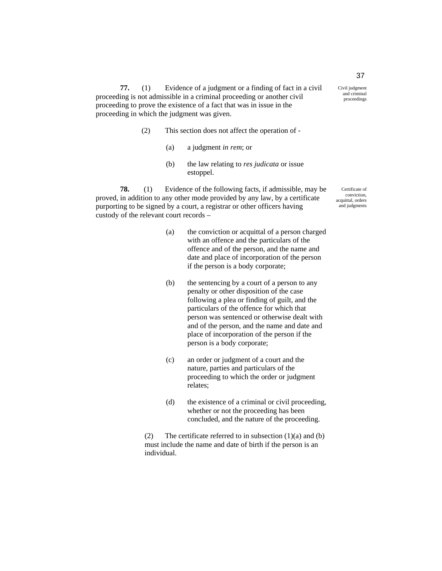**77.** (1) Evidence of a judgment or a finding of fact in a civil proceeding is not admissible in a criminal proceeding or another civil proceeding to prove the existence of a fact that was in issue in the proceeding in which the judgment was given.

- (2) This section does not affect the operation of
	- (a) a judgment *in rem*; or
	- (b) the law relating to *res judicata* or issue estoppel.

**78.** (1) Evidence of the following facts, if admissible, may be proved, in addition to any other mode provided by any law, by a certificate purporting to be signed by a court, a registrar or other officers having custody of the relevant court records –

- (a) the conviction or acquittal of a person charged with an offence and the particulars of the offence and of the person, and the name and date and place of incorporation of the person if the person is a body corporate;
- (b) the sentencing by a court of a person to any penalty or other disposition of the case following a plea or finding of guilt, and the particulars of the offence for which that person was sentenced or otherwise dealt with and of the person, and the name and date and place of incorporation of the person if the person is a body corporate;
- (c) an order or judgment of a court and the nature, parties and particulars of the proceeding to which the order or judgment relates;
- (d) the existence of a criminal or civil proceeding, whether or not the proceeding has been concluded, and the nature of the proceeding.

(2) The certificate referred to in subsection  $(1)(a)$  and  $(b)$ must include the name and date of birth if the person is an individual.

37

and criminal proceedings

Civil judgment

Certificate of conviction, acquittal, orders and judgments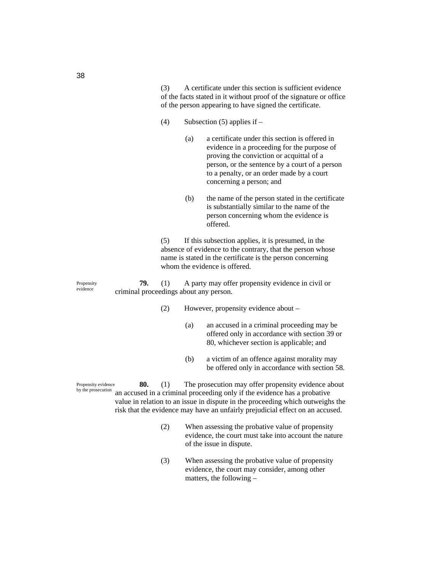(3) A certificate under this section is sufficient evidence of the facts stated in it without proof of the signature or office of the person appearing to have signed the certificate.

- (4) Subsection (5) applies if  $-$ 
	- (a) a certificate under this section is offered in evidence in a proceeding for the purpose of proving the conviction or acquittal of a person, or the sentence by a court of a person to a penalty, or an order made by a court concerning a person; and
		- (b) the name of the person stated in the certificate is substantially similar to the name of the person concerning whom the evidence is offered.

(5) If this subsection applies, it is presumed, in the absence of evidence to the contrary, that the person whose name is stated in the certificate is the person concerning whom the evidence is offered.

**79.** (1) A party may offer propensity evidence in civil or criminal proceedings about any person.

- (2) However, propensity evidence about
	- (a) an accused in a criminal proceeding may be offered only in accordance with section 39 or 80, whichever section is applicable; and
	- (b) a victim of an offence against morality may be offered only in accordance with section 58.

**80.** (1) The prosecution may offer propensity evidence about an accused in a criminal proceeding only if the evidence has a probative value in relation to an issue in dispute in the proceeding which outweighs the risk that the evidence may have an unfairly prejudicial effect on an accused. Propensity evidence by the prosecution

- (2) When assessing the probative value of propensity evidence, the court must take into account the nature of the issue in dispute.
- (3) When assessing the probative value of propensity evidence, the court may consider, among other matters, the following –

38

Propensity evidence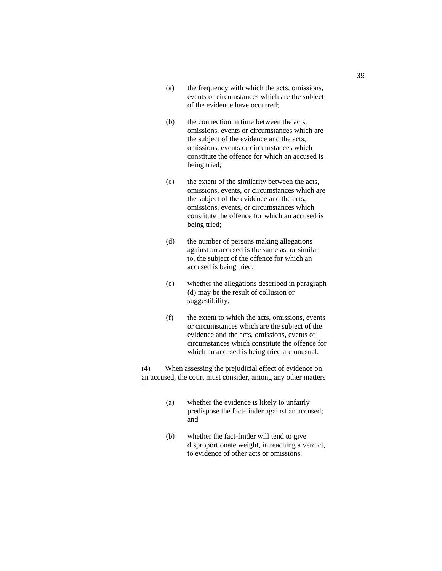- (a) the frequency with which the acts, omissions, events or circumstances which are the subject of the evidence have occurred;
- (b) the connection in time between the acts, omissions, events or circumstances which are the subject of the evidence and the acts, omissions, events or circumstances which constitute the offence for which an accused is being tried;
- (c) the extent of the similarity between the acts, omissions, events, or circumstances which are the subject of the evidence and the acts, omissions, events, or circumstances which constitute the offence for which an accused is being tried;
- (d) the number of persons making allegations against an accused is the same as, or similar to, the subject of the offence for which an accused is being tried;
- (e) whether the allegations described in paragraph (d) may be the result of collusion or suggestibility;
- (f) the extent to which the acts, omissions, events or circumstances which are the subject of the evidence and the acts, omissions, events or circumstances which constitute the offence for which an accused is being tried are unusual.

(4) When assessing the prejudicial effect of evidence on an accused, the court must consider, among any other matters –

- (a) whether the evidence is likely to unfairly predispose the fact-finder against an accused; and
- (b) whether the fact-finder will tend to give disproportionate weight, in reaching a verdict, to evidence of other acts or omissions.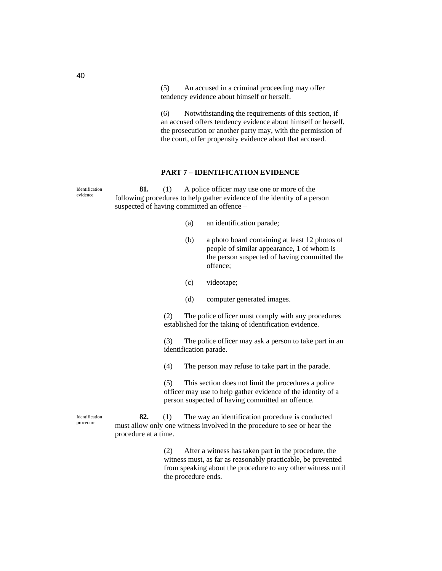(5) An accused in a criminal proceeding may offer tendency evidence about himself or herself.

(6) Notwithstanding the requirements of this section, if an accused offers tendency evidence about himself or herself, the prosecution or another party may, with the permission of the court, offer propensity evidence about that accused.

## **PART 7 – IDENTIFICATION EVIDENCE**

**81.** (1) A police officer may use one or more of the following procedures to help gather evidence of the identity of a person suspected of having committed an offence – (a) an identification parade; (b) a photo board containing at least 12 photos of people of similar appearance, 1 of whom is the person suspected of having committed the offence; (c) videotape; (d) computer generated images. (2) The police officer must comply with any procedures established for the taking of identification evidence. (3) The police officer may ask a person to take part in an identification parade. (4) The person may refuse to take part in the parade. (5) This section does not limit the procedures a police officer may use to help gather evidence of the identity of a person suspected of having committed an offence. **82.** (1) The way an identification procedure is conducted must allow only one witness involved in the procedure to see or hear the procedure at a time. (2) After a witness has taken part in the procedure, the witness must, as far as reasonably practicable, be prevented from speaking about the procedure to any other witness until Identification evidence Identification procedure

the procedure ends.

40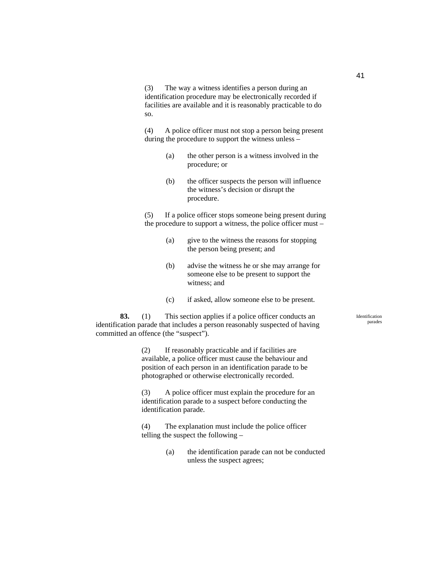(3) The way a witness identifies a person during an identification procedure may be electronically recorded if facilities are available and it is reasonably practicable to do so.

(4) A police officer must not stop a person being present during the procedure to support the witness unless –

- (a) the other person is a witness involved in the procedure; or
- (b) the officer suspects the person will influence the witness's decision or disrupt the procedure.

(5) If a police officer stops someone being present during the procedure to support a witness, the police officer must –

- (a) give to the witness the reasons for stopping the person being present; and
- (b) advise the witness he or she may arrange for someone else to be present to support the witness; and
- (c) if asked, allow someone else to be present.

**83.** (1) This section applies if a police officer conducts an identification parade that includes a person reasonably suspected of having committed an offence (the "suspect").

> (2) If reasonably practicable and if facilities are available, a police officer must cause the behaviour and position of each person in an identification parade to be photographed or otherwise electronically recorded.

(3) A police officer must explain the procedure for an identification parade to a suspect before conducting the identification parade.

(4) The explanation must include the police officer telling the suspect the following –

> (a) the identification parade can not be conducted unless the suspect agrees;

Identification parades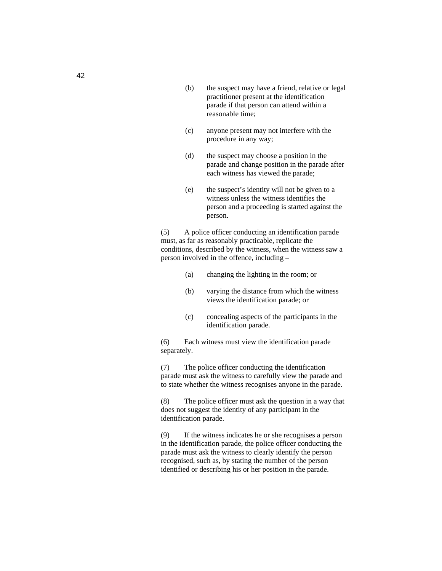- (b) the suspect may have a friend, relative or legal practitioner present at the identification parade if that person can attend within a reasonable time;
- (c) anyone present may not interfere with the procedure in any way;
- (d) the suspect may choose a position in the parade and change position in the parade after each witness has viewed the parade;
- (e) the suspect's identity will not be given to a witness unless the witness identifies the person and a proceeding is started against the person.

(5) A police officer conducting an identification parade must, as far as reasonably practicable, replicate the conditions, described by the witness, when the witness saw a person involved in the offence, including –

- (a) changing the lighting in the room; or
- (b) varying the distance from which the witness views the identification parade; or
- (c) concealing aspects of the participants in the identification parade.

(6) Each witness must view the identification parade separately.

(7) The police officer conducting the identification parade must ask the witness to carefully view the parade and to state whether the witness recognises anyone in the parade.

(8) The police officer must ask the question in a way that does not suggest the identity of any participant in the identification parade.

(9) If the witness indicates he or she recognises a person in the identification parade, the police officer conducting the parade must ask the witness to clearly identify the person recognised, such as, by stating the number of the person identified or describing his or her position in the parade.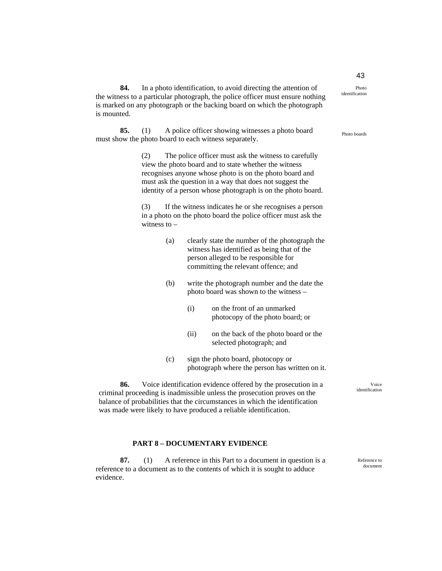Photo identification

is mounted. **85.** (1) A police officer showing witnesses a photo board

**84.** In a photo identification, to avoid directing the attention of the witness to a particular photograph, the police officer must ensure nothing is marked on any photograph or the backing board on which the photograph

must show the photo board to each witness separately.

(2) The police officer must ask the witness to carefully view the photo board and to state whether the witness recognises anyone whose photo is on the photo board and must ask the question in a way that does not suggest the identity of a person whose photograph is on the photo board.

(3) If the witness indicates he or she recognises a person in a photo on the photo board the police officer must ask the witness to  $-$ 

- (a) clearly state the number of the photograph the witness has identified as being that of the person alleged to be responsible for committing the relevant offence; and
- (b) write the photograph number and the date the photo board was shown to the witness –
	- (i) on the front of an unmarked photocopy of the photo board; or
	- (ii) on the back of the photo board or the selected photograph; and
- (c) sign the photo board, photocopy or photograph where the person has written on it.

**86.** Voice identification evidence offered by the prosecution in a criminal proceeding is inadmissible unless the prosecution proves on the balance of probabilities that the circumstances in which the identification was made were likely to have produced a reliable identification.

#### **PART 8 – DOCUMENTARY EVIDENCE**

**87.** (1) A reference in this Part to a document in question is a reference to a document as to the contents of which it is sought to adduce evidence.

document

# 43

Photo boards

Voice identification

- 
- 

Reference to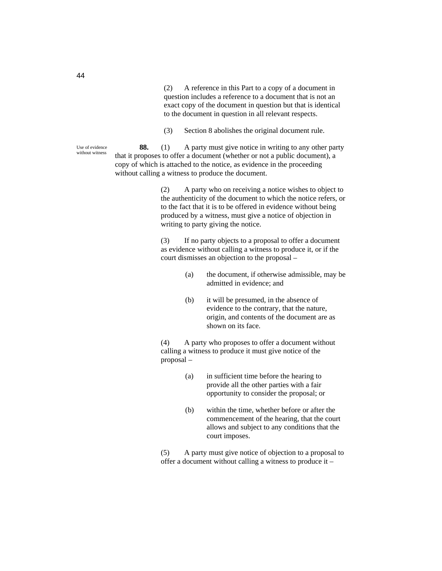(2) A reference in this Part to a copy of a document in question includes a reference to a document that is not an exact copy of the document in question but that is identical to the document in question in all relevant respects.

(3) Section 8 abolishes the original document rule.

**88.** (1) A party must give notice in writing to any other party that it proposes to offer a document (whether or not a public document), a copy of which is attached to the notice, as evidence in the proceeding without calling a witness to produce the document.

> (2) A party who on receiving a notice wishes to object to the authenticity of the document to which the notice refers, or to the fact that it is to be offered in evidence without being produced by a witness, must give a notice of objection in writing to party giving the notice.

(3) If no party objects to a proposal to offer a document as evidence without calling a witness to produce it, or if the court dismisses an objection to the proposal –

- (a) the document, if otherwise admissible, may be admitted in evidence; and
- (b) it will be presumed, in the absence of evidence to the contrary, that the nature, origin, and contents of the document are as shown on its face.

(4) A party who proposes to offer a document without calling a witness to produce it must give notice of the proposal –

- (a) in sufficient time before the hearing to provide all the other parties with a fair opportunity to consider the proposal; or
- (b) within the time, whether before or after the commencement of the hearing, that the court allows and subject to any conditions that the court imposes.

(5) A party must give notice of objection to a proposal to offer a document without calling a witness to produce it –

Use of evidence without witness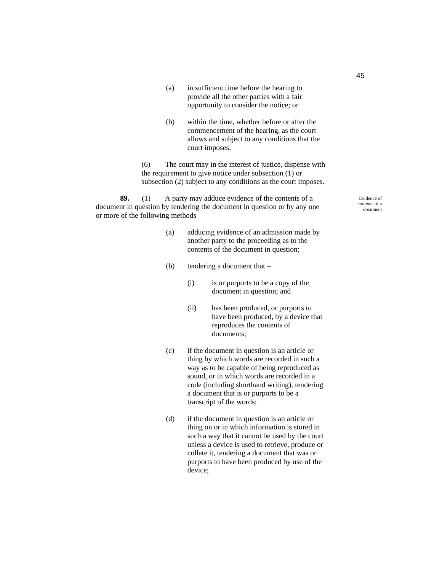- (a) in sufficient time before the hearing to provide all the other parties with a fair opportunity to consider the notice; or
- (b) within the time, whether before or after the commencement of the hearing, as the court allows and subject to any conditions that the court imposes.

(6) The court may in the interest of justice, dispense with the requirement to give notice under subsection (1) or subsection (2) subject to any conditions as the court imposes.

**89.** (1) A party may adduce evidence of the contents of a document in question by tendering the document in question or by any one or more of the following methods –

- (a) adducing evidence of an admission made by another party to the proceeding as to the contents of the document in question;
- (b) tendering a document that
	- (i) is or purports to be a copy of the document in question; and
	- (ii) has been produced, or purports to have been produced, by a device that reproduces the contents of documents;
- (c) if the document in question is an article or thing by which words are recorded in such a way as to be capable of being reproduced as sound, or in which words are recorded in a code (including shorthand writing), tendering a document that is or purports to be a transcript of the words;
- (d) if the document in question is an article or thing on or in which information is stored in such a way that it cannot be used by the court unless a device is used to retrieve, produce or collate it, tendering a document that was or purports to have been produced by use of the device;

Evidence of contents of a document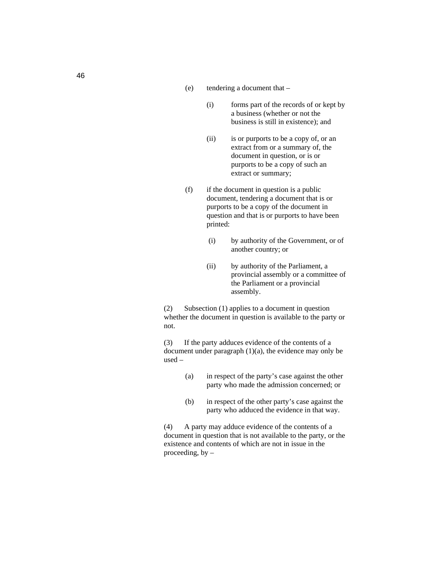- (e) tendering a document that
	- (i) forms part of the records of or kept by a business (whether or not the business is still in existence); and
	- (ii) is or purports to be a copy of, or an extract from or a summary of, the document in question, or is or purports to be a copy of such an extract or summary;
- (f) if the document in question is a public document, tendering a document that is or purports to be a copy of the document in question and that is or purports to have been printed:
	- (i) by authority of the Government, or of another country; or
	- (ii) by authority of the Parliament, a provincial assembly or a committee of the Parliament or a provincial assembly.

(2) Subsection (1) applies to a document in question whether the document in question is available to the party or not.

(3) If the party adduces evidence of the contents of a document under paragraph (1)(a), the evidence may only be used –

- (a) in respect of the party's case against the other party who made the admission concerned; or
- (b) in respect of the other party's case against the party who adduced the evidence in that way.

(4) A party may adduce evidence of the contents of a document in question that is not available to the party, or the existence and contents of which are not in issue in the proceeding, by  $-$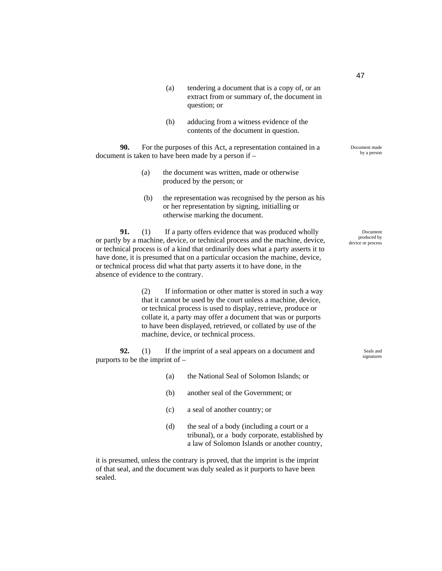- (a) tendering a document that is a copy of, or an extract from or summary of, the document in question; or
- (b) adducing from a witness evidence of the contents of the document in question.

**90.** For the purposes of this Act, a representation contained in a document is taken to have been made by a person if –

- (a) the document was written, made or otherwise produced by the person; or
- (b) the representation was recognised by the person as his or her representation by signing, initialling or otherwise marking the document.

**91.** (1) If a party offers evidence that was produced wholly or partly by a machine, device, or technical process and the machine, device, or technical process is of a kind that ordinarily does what a party asserts it to have done, it is presumed that on a particular occasion the machine, device, or technical process did what that party asserts it to have done, in the absence of evidence to the contrary.

> (2) If information or other matter is stored in such a way that it cannot be used by the court unless a machine, device, or technical process is used to display, retrieve, produce or collate it, a party may offer a document that was or purports to have been displayed, retrieved, or collated by use of the machine, device, or technical process.

**92.** (1) If the imprint of a seal appears on a document and purports to be the imprint of –

- (a) the National Seal of Solomon Islands; or
- (b) another seal of the Government; or
- (c) a seal of another country; or
- (d) the seal of a body (including a court or a tribunal), or a body corporate, established by a law of Solomon Islands or another country,

it is presumed, unless the contrary is proved, that the imprint is the imprint of that seal, and the document was duly sealed as it purports to have been sealed.

Document made by a person

Document produced by device or process

> Seals and signatures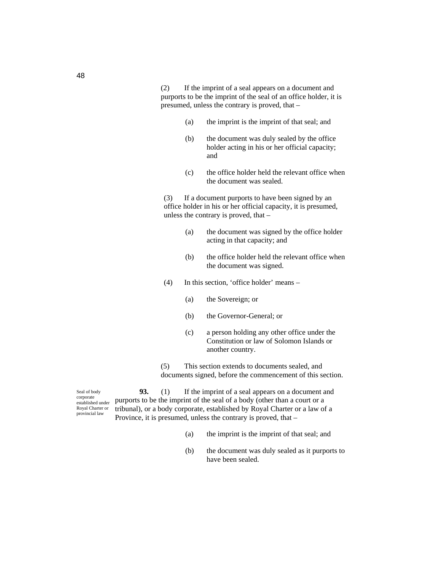(2) If the imprint of a seal appears on a document and purports to be the imprint of the seal of an office holder, it is presumed, unless the contrary is proved, that –

- (a) the imprint is the imprint of that seal; and
- (b) the document was duly sealed by the office holder acting in his or her official capacity; and
- (c) the office holder held the relevant office when the document was sealed.

(3) If a document purports to have been signed by an office holder in his or her official capacity, it is presumed, unless the contrary is proved, that –

- (a) the document was signed by the office holder acting in that capacity; and
- (b) the office holder held the relevant office when the document was signed.
- (4) In this section, 'office holder' means
	- (a) the Sovereign; or
	- (b) the Governor-General; or
	- (c) a person holding any other office under the Constitution or law of Solomon Islands or another country.

(5) This section extends to documents sealed, and documents signed, before the commencement of this section.

Seal of body corporate established under Royal Charter or provincial law

**93.** (1) If the imprint of a seal appears on a document and purports to be the imprint of the seal of a body (other than a court or a tribunal), or a body corporate, established by Royal Charter or a law of a Province, it is presumed, unless the contrary is proved, that –

- (a) the imprint is the imprint of that seal; and
- (b) the document was duly sealed as it purports to have been sealed.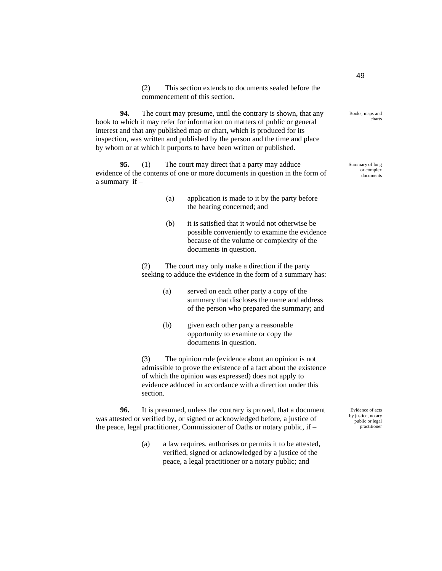(2) This section extends to documents sealed before the commencement of this section.

**94.** The court may presume, until the contrary is shown, that any book to which it may refer for information on matters of public or general interest and that any published map or chart, which is produced for its inspection, was written and published by the person and the time and place by whom or at which it purports to have been written or published.

**95.** (1) The court may direct that a party may adduce evidence of the contents of one or more documents in question in the form of a summary if –

- (a) application is made to it by the party before the hearing concerned; and
- (b) it is satisfied that it would not otherwise be possible conveniently to examine the evidence because of the volume or complexity of the documents in question.

(2) The court may only make a direction if the party seeking to adduce the evidence in the form of a summary has:

- (a) served on each other party a copy of the summary that discloses the name and address of the person who prepared the summary; and
- (b) given each other party a reasonable opportunity to examine or copy the documents in question.

(3) The opinion rule (evidence about an opinion is not admissible to prove the existence of a fact about the existence of which the opinion was expressed) does not apply to evidence adduced in accordance with a direction under this section.

**96.** It is presumed, unless the contrary is proved, that a document was attested or verified by, or signed or acknowledged before, a justice of the peace, legal practitioner, Commissioner of Oaths or notary public, if –

> (a) a law requires, authorises or permits it to be attested, verified, signed or acknowledged by a justice of the peace, a legal practitioner or a notary public; and

Evidence of acts by justice, notary public or legal practitioner

49

Books, maps and charts

Summary of long or complex documents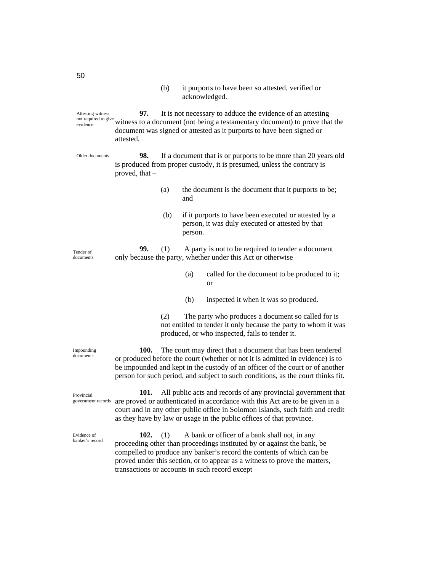(b) it purports to have been so attested, verified or acknowledged.

**97.** It is not necessary to adduce the evidence of an attesting witness to a document (not being a testamentary document) to prove that the document was signed or attested as it purports to have been signed or attested. Attesting witness not required to give evidence

**98.** If a document that is or purports to be more than 20 years old is produced from proper custody, it is presumed, unless the contrary is proved, that – Older documents

- (a) the document is the document that it purports to be; and
- (b) if it purports to have been executed or attested by a person, it was duly executed or attested by that person.

**99.** (1) A party is not to be required to tender a document only because the party, whether under this Act or otherwise –

- (a) called for the document to be produced to it; or
- (b) inspected it when it was so produced.

(2) The party who produces a document so called for is not entitled to tender it only because the party to whom it was produced, or who inspected, fails to tender it.

**100.** The court may direct that a document that has been tendered or produced before the court (whether or not it is admitted in evidence) is to be impounded and kept in the custody of an officer of the court or of another person for such period, and subject to such conditions, as the court thinks fit.

**101.** All public acts and records of any provincial government that are proved or authenticated in accordance with this Act are to be given in a court and in any other public office in Solomon Islands, such faith and credit as they have by law or usage in the public offices of that province.

**102.** (1) A bank or officer of a bank shall not, in any proceeding other than proceedings instituted by or against the bank, be compelled to produce any banker's record the contents of which can be proved under this section, or to appear as a witness to prove the matters, transactions or accounts in such record except –

Tender of documents

Impounding documents

Provincial government records

Evidence of banker's record

50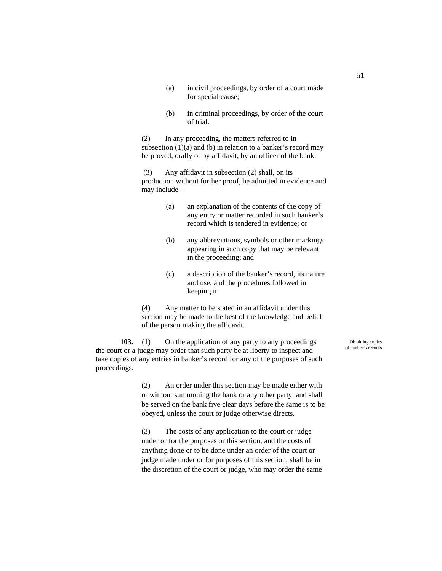- (a) in civil proceedings, by order of a court made for special cause;
- (b) in criminal proceedings, by order of the court of trial.

**(**2) In any proceeding, the matters referred to in subsection  $(1)(a)$  and  $(b)$  in relation to a banker's record may be proved, orally or by affidavit, by an officer of the bank.

 (3) Any affidavit in subsection (2) shall, on its production without further proof, be admitted in evidence and may include –

- (a) an explanation of the contents of the copy of any entry or matter recorded in such banker's record which is tendered in evidence; or
- (b) any abbreviations, symbols or other markings appearing in such copy that may be relevant in the proceeding; and
- (c) a description of the banker's record, its nature and use, and the procedures followed in keeping it.

(4) Any matter to be stated in an affidavit under this section may be made to the best of the knowledge and belief of the person making the affidavit.

**103.** (1) On the application of any party to any proceedings the court or a judge may order that such party be at liberty to inspect and take copies of any entries in banker's record for any of the purposes of such proceedings.

> (2) An order under this section may be made either with or without summoning the bank or any other party, and shall be served on the bank five clear days before the same is to be obeyed, unless the court or judge otherwise directs.

(3) The costs of any application to the court or judge under or for the purposes or this section, and the costs of anything done or to be done under an order of the court or judge made under or for purposes of this section, shall be in the discretion of the court or judge, who may order the same

Obtaining copies of banker's records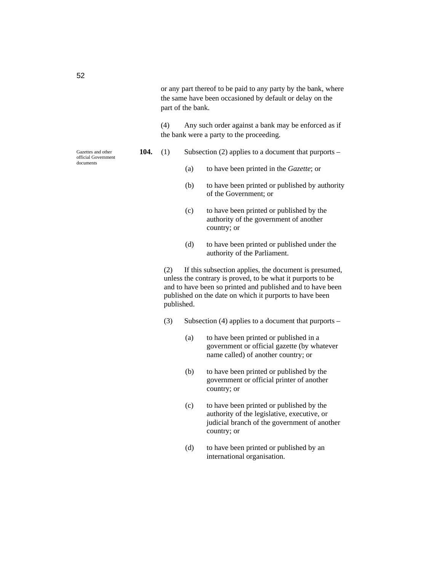(4) Any such order against a bank may be enforced as if the bank were a party to the proceeding.

- **104.** (1) Subsection (2) applies to a document that purports
	- (a) to have been printed in the *Gazette*; or
	- (b) to have been printed or published by authority of the Government; or
	- (c) to have been printed or published by the authority of the government of another country; or
	- (d) to have been printed or published under the authority of the Parliament.

(2) If this subsection applies, the document is presumed, unless the contrary is proved, to be what it purports to be and to have been so printed and published and to have been published on the date on which it purports to have been published.

- (3) Subsection (4) applies to a document that purports
	- (a) to have been printed or published in a government or official gazette (by whatever name called) of another country; or
	- (b) to have been printed or published by the government or official printer of another country; or
	- (c) to have been printed or published by the authority of the legislative, executive, or judicial branch of the government of another country; or
	- (d) to have been printed or published by an international organisation.

Gazettes and other official Government documents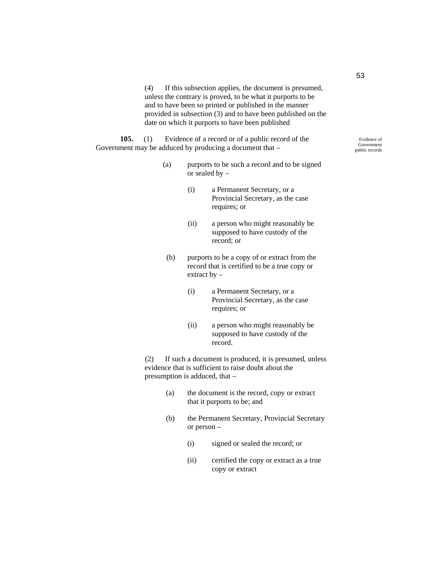(4) If this subsection applies, the document is presumed, unless the contrary is proved, to be what it purports to be and to have been so printed or published in the manner provided in subsection (3) and to have been published on the date on which it purports to have been published

**105.** (1) Evidence of a record or of a public record of the Government may be adduced by producing a document that –

- (a) purports to be such a record and to be signed or sealed by –
	- (i) a Permanent Secretary, or a Provincial Secretary, as the case requires; or
	- (ii) a person who might reasonably be supposed to have custody of the record; or
	- (b) purports to be a copy of or extract from the record that is certified to be a true copy or extract by –
		- (i) a Permanent Secretary, or a Provincial Secretary, as the case requires; or
		- (ii) a person who might reasonably be supposed to have custody of the record.

(2) If such a document is produced, it is presumed, unless evidence that is sufficient to raise doubt about the presumption is adduced, that –

- (a) the document is the record, copy or extract that it purports to be; and
- (b) the Permanent Secretary, Provincial Secretary or person –
	- (i) signed or sealed the record; or
	- (ii) certified the copy or extract as a true copy or extract

53

Evidence of Government public records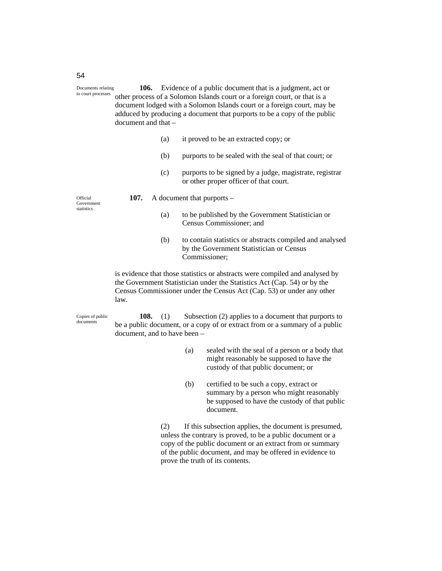**106.** Evidence of a public document that is a judgment, act or other process of a Solomon Islands court or a foreign court, or that is a document lodged with a Solomon Islands court or a foreign court, may be adduced by producing a document that purports to be a copy of the public document and that – Documents relating to court processes

- (a) it proved to be an extracted copy; or
- (b) purports to be sealed with the seal of that court; or
- (c) purports to be signed by a judge, magistrate, registrar or other proper officer of that court.

Official Government statistics

- **107.** A document that purports
	- (a) to be published by the Government Statistician or Census Commissioner; and
	- (b) to contain statistics or abstracts compiled and analysed by the Government Statistician or Census Commissioner;

is evidence that those statistics or abstracts were compiled and analysed by the Government Statistician under the Statistics Act (Cap. 54) or by the Census Commissioner under the Census Act (Cap. 53) or under any other law.

Copies of public documents

**108.** (1) Subsection (2) applies to a document that purports to be a public document, or a copy of or extract from or a summary of a public document, and to have been –

- (a) sealed with the seal of a person or a body that might reasonably be supposed to have the custody of that public document; or
- (b) certified to be such a copy, extract or summary by a person who might reasonably be supposed to have the custody of that public document.

(2) If this subsection applies, the document is presumed, unless the contrary is proved, to be a public document or a copy of the public document or an extract from or summary of the public document, and may be offered in evidence to prove the truth of its contents.

54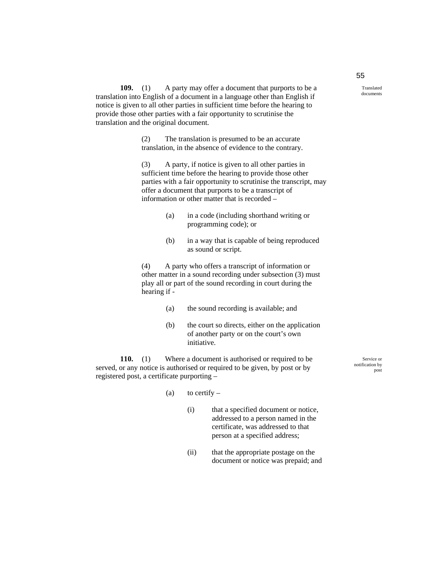**109.** (1) A party may offer a document that purports to be a translation into English of a document in a language other than English if notice is given to all other parties in sufficient time before the hearing to provide those other parties with a fair opportunity to scrutinise the translation and the original document.

> (2) The translation is presumed to be an accurate translation, in the absence of evidence to the contrary.

(3) A party, if notice is given to all other parties in sufficient time before the hearing to provide those other parties with a fair opportunity to scrutinise the transcript, may offer a document that purports to be a transcript of information or other matter that is recorded –

- (a) in a code (including shorthand writing or programming code); or
- (b) in a way that is capable of being reproduced as sound or script.

(4) A party who offers a transcript of information or other matter in a sound recording under subsection (3) must play all or part of the sound recording in court during the hearing if -

- (a) the sound recording is available; and
- (b) the court so directs, either on the application of another party or on the court's own initiative.

**110.** (1) Where a document is authorised or required to be served, or any notice is authorised or required to be given, by post or by registered post, a certificate purporting –

Service or notification by post

- (a) to certify  $-$ 
	- (i) that a specified document or notice, addressed to a person named in the certificate, was addressed to that person at a specified address;
	- (ii) that the appropriate postage on the document or notice was prepaid; and

55

Translated documents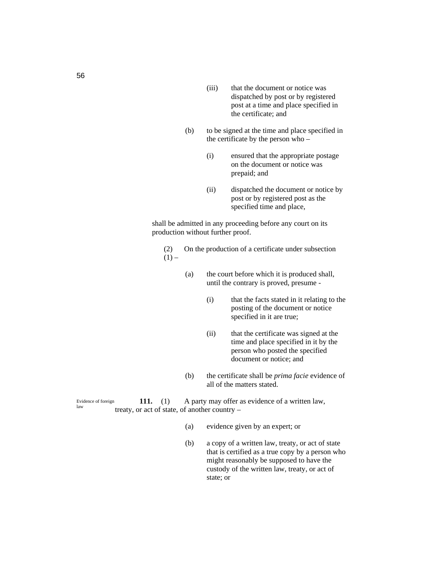- (iii) that the document or notice was dispatched by post or by registered post at a time and place specified in the certificate; and
- (b) to be signed at the time and place specified in the certificate by the person who –
	- (i) ensured that the appropriate postage on the document or notice was prepaid; and
	- (ii) dispatched the document or notice by post or by registered post as the specified time and place,

shall be admitted in any proceeding before any court on its production without further proof.

- (2) On the production of a certificate under subsection  $(1)$  –
	- (a) the court before which it is produced shall, until the contrary is proved, presume -
		- (i) that the facts stated in it relating to the posting of the document or notice specified in it are true;
		- (ii) that the certificate was signed at the time and place specified in it by the person who posted the specified document or notice; and
	- (b) the certificate shall be *prima facie* evidence of all of the matters stated.

**111.** (1) A party may offer as evidence of a written law, treaty, or act of state, of another country – Evidence of foreign law

- (a) evidence given by an expert; or
- (b) a copy of a written law, treaty, or act of state that is certified as a true copy by a person who might reasonably be supposed to have the custody of the written law, treaty, or act of state; or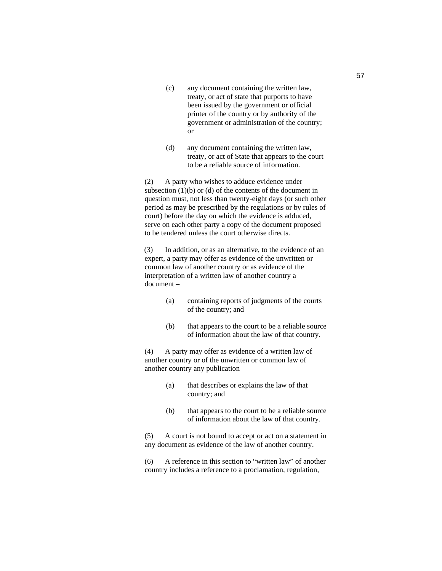- (c) any document containing the written law, treaty, or act of state that purports to have been issued by the government or official printer of the country or by authority of the government or administration of the country; or
- (d) any document containing the written law, treaty, or act of State that appears to the court to be a reliable source of information.

(2) A party who wishes to adduce evidence under subsection  $(1)(b)$  or  $(d)$  of the contents of the document in question must, not less than twenty-eight days (or such other period as may be prescribed by the regulations or by rules of court) before the day on which the evidence is adduced, serve on each other party a copy of the document proposed to be tendered unless the court otherwise directs.

(3) In addition, or as an alternative, to the evidence of an expert, a party may offer as evidence of the unwritten or common law of another country or as evidence of the interpretation of a written law of another country a document –

- (a) containing reports of judgments of the courts of the country; and
- (b) that appears to the court to be a reliable source of information about the law of that country.

(4) A party may offer as evidence of a written law of another country or of the unwritten or common law of another country any publication –

- (a) that describes or explains the law of that country; and
- (b) that appears to the court to be a reliable source of information about the law of that country.

(5) A court is not bound to accept or act on a statement in any document as evidence of the law of another country.

(6) A reference in this section to "written law" of another country includes a reference to a proclamation, regulation,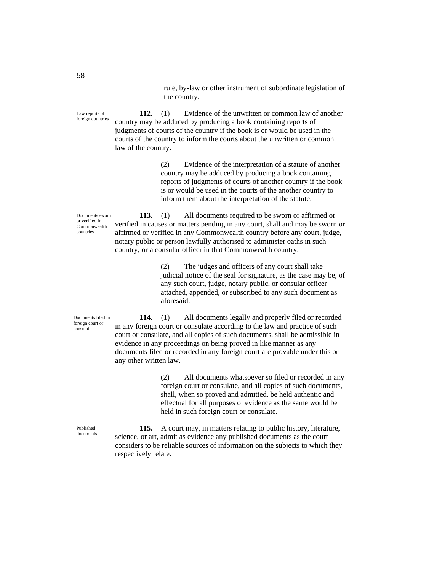rule, by-law or other instrument of subordinate legislation of the country.

**112.** (1) Evidence of the unwritten or common law of another country may be adduced by producing a book containing reports of judgments of courts of the country if the book is or would be used in the courts of the country to inform the courts about the unwritten or common law of the country. Law reports of foreign countries

> (2) Evidence of the interpretation of a statute of another country may be adduced by producing a book containing reports of judgments of courts of another country if the book is or would be used in the courts of the another country to inform them about the interpretation of the statute.

Documents sworn or verified in Commonwealth countries

**113.** (1) All documents required to be sworn or affirmed or verified in causes or matters pending in any court, shall and may be sworn or affirmed or verified in any Commonwealth country before any court, judge, notary public or person lawfully authorised to administer oaths in such country, or a consular officer in that Commonwealth country.

> (2) The judges and officers of any court shall take judicial notice of the seal for signature, as the case may be, of any such court, judge, notary public, or consular officer attached, appended, or subscribed to any such document as aforesaid.

Documents filed in foreign court or consulate

**114.** (1) All documents legally and properly filed or recorded in any foreign court or consulate according to the law and practice of such court or consulate, and all copies of such documents, shall be admissible in evidence in any proceedings on being proved in like manner as any documents filed or recorded in any foreign court are provable under this or any other written law.

> (2) All documents whatsoever so filed or recorded in any foreign court or consulate, and all copies of such documents, shall, when so proved and admitted, be held authentic and effectual for all purposes of evidence as the same would be held in such foreign court or consulate.

Published documents

**115.** A court may, in matters relating to public history, literature, science, or art, admit as evidence any published documents as the court considers to be reliable sources of information on the subjects to which they respectively relate.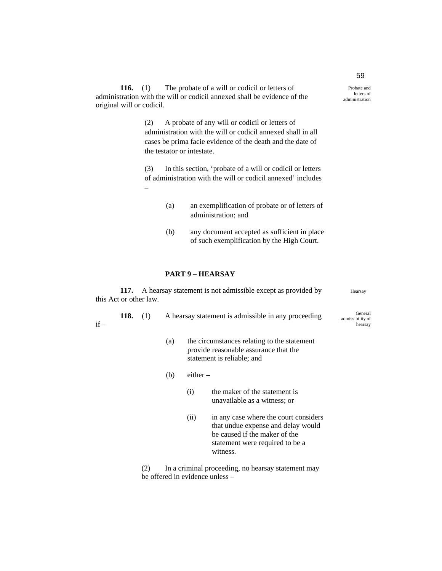**116.** (1) The probate of a will or codicil or letters of administration with the will or codicil annexed shall be evidence of the original will or codicil.

> (2) A probate of any will or codicil or letters of administration with the will or codicil annexed shall in all cases be prima facie evidence of the death and the date of the testator or intestate.

(3) In this section, 'probate of a will or codicil or letters of administration with the will or codicil annexed' includes –

- (a) an exemplification of probate or of letters of administration; and
- (b) any document accepted as sufficient in place of such exemplification by the High Court.

## **PART 9 – HEARSAY**

**117.** A hearsay statement is not admissible except as provided by this Act or other law.

**118.** (1) A hearsay statement is admissible in any proceeding if –

- (a) the circumstances relating to the statement provide reasonable assurance that the statement is reliable; and
- (b) either
	- (i) the maker of the statement is unavailable as a witness; or
	- (ii) in any case where the court considers that undue expense and delay would be caused if the maker of the statement were required to be a witness.

(2) In a criminal proceeding, no hearsay statement may be offered in evidence unless –

59 Probate and letters of

administration

Hearsay

General admissibility of hearsay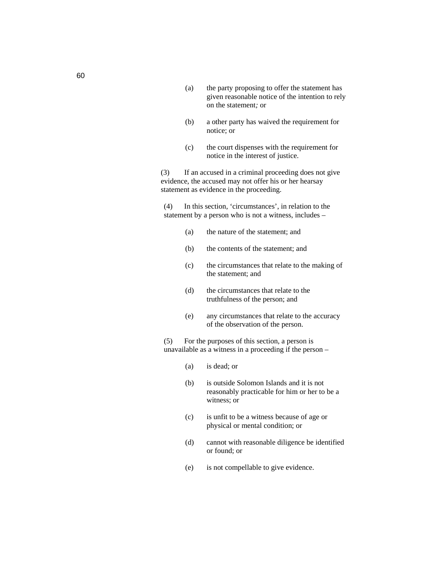- (a) the party proposing to offer the statement has given reasonable notice of the intention to rely on the statement*;* or
- (b) a other party has waived the requirement for notice; or
- (c) the court dispenses with the requirement for notice in the interest of justice.

(3) If an accused in a criminal proceeding does not give evidence, the accused may not offer his or her hearsay statement as evidence in the proceeding.

(4) In this section, 'circumstances', in relation to the statement by a person who is not a witness, includes –

- (a) the nature of the statement; and
- (b) the contents of the statement; and
- (c) the circumstances that relate to the making of the statement; and
- (d) the circumstances that relate to the truthfulness of the person; and
- (e) any circumstances that relate to the accuracy of the observation of the person.

(5) For the purposes of this section, a person is unavailable as a witness in a proceeding if the person –

- (a) is dead; or
- (b) is outside Solomon Islands and it is not reasonably practicable for him or her to be a witness; or
- (c) is unfit to be a witness because of age or physical or mental condition; or
- (d) cannot with reasonable diligence be identified or found; or
- (e) is not compellable to give evidence.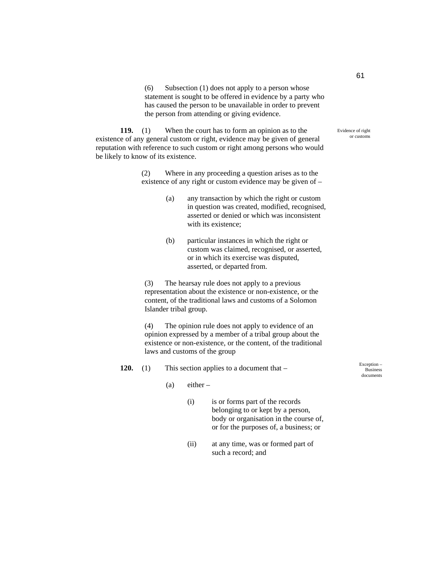(6) Subsection (1) does not apply to a person whose statement is sought to be offered in evidence by a party who has caused the person to be unavailable in order to prevent the person from attending or giving evidence.

**119.** (1) When the court has to form an opinion as to the existence of any general custom or right, evidence may be given of general reputation with reference to such custom or right among persons who would be likely to know of its existence.

> (2) Where in any proceeding a question arises as to the existence of any right or custom evidence may be given of –

- (a) any transaction by which the right or custom in question was created, modified, recognised, asserted or denied or which was inconsistent with its existence:
- (b) particular instances in which the right or custom was claimed, recognised, or asserted, or in which its exercise was disputed, asserted, or departed from.

(3) The hearsay rule does not apply to a previous representation about the existence or non-existence, or the content, of the traditional laws and customs of a Solomon Islander tribal group.

(4) The opinion rule does not apply to evidence of an opinion expressed by a member of a tribal group about the existence or non-existence, or the content, of the traditional laws and customs of the group

- **120.** (1) This section applies to a document that
	- $(a)$  either
		- (i) is or forms part of the records belonging to or kept by a person, body or organisation in the course of, or for the purposes of, a business; or
		- (ii) at any time, was or formed part of such a record; and

Exception – Business documents

Evidence of right or customs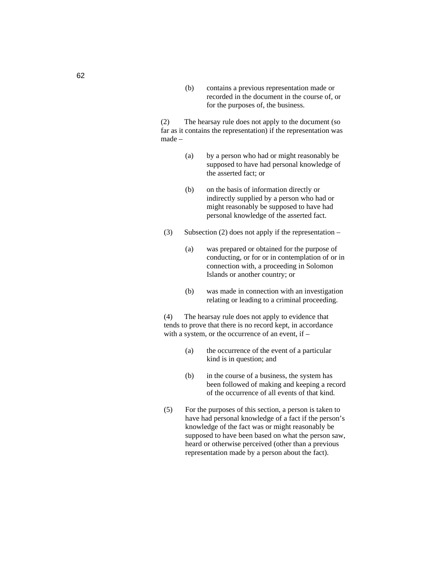(b) contains a previous representation made or recorded in the document in the course of, or for the purposes of, the business.

(2) The hearsay rule does not apply to the document (so far as it contains the representation) if the representation was made –

- (a) by a person who had or might reasonably be supposed to have had personal knowledge of the asserted fact; or
- (b) on the basis of information directly or indirectly supplied by a person who had or might reasonably be supposed to have had personal knowledge of the asserted fact.
- (3) Subsection (2) does not apply if the representation
	- (a) was prepared or obtained for the purpose of conducting, or for or in contemplation of or in connection with, a proceeding in Solomon Islands or another country; or
	- (b) was made in connection with an investigation relating or leading to a criminal proceeding.

(4) The hearsay rule does not apply to evidence that tends to prove that there is no record kept, in accordance with a system, or the occurrence of an event, if –

- (a) the occurrence of the event of a particular kind is in question; and
- (b) in the course of a business, the system has been followed of making and keeping a record of the occurrence of all events of that kind.
- (5) For the purposes of this section, a person is taken to have had personal knowledge of a fact if the person's knowledge of the fact was or might reasonably be supposed to have been based on what the person saw, heard or otherwise perceived (other than a previous representation made by a person about the fact).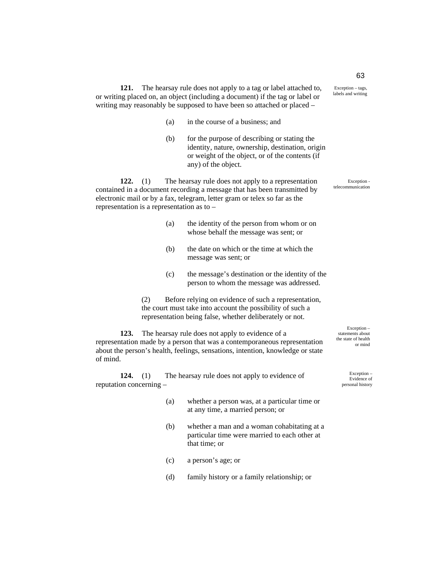Exception – tags, labels and writing

**121.** The hearsay rule does not apply to a tag or label attached to, or writing placed on, an object (including a document) if the tag or label or writing may reasonably be supposed to have been so attached or placed –

- (a) in the course of a business; and
- (b) for the purpose of describing or stating the identity, nature, ownership, destination, origin or weight of the object, or of the contents (if any) of the object.

**122.** (1) The hearsay rule does not apply to a representation contained in a document recording a message that has been transmitted by electronic mail or by a fax, telegram, letter gram or telex so far as the representation is a representation as to –

- (a) the identity of the person from whom or on whose behalf the message was sent; or
- (b) the date on which or the time at which the message was sent; or
- (c) the message's destination or the identity of the person to whom the message was addressed.

(2) Before relying on evidence of such a representation, the court must take into account the possibility of such a representation being false, whether deliberately or not.

**123.** The hearsay rule does not apply to evidence of a representation made by a person that was a contemporaneous representation about the person's health, feelings, sensations, intention, knowledge or state of mind.

**124.** (1) The hearsay rule does not apply to evidence of reputation concerning –

- (a) whether a person was, at a particular time or at any time, a married person; or
- (b) whether a man and a woman cohabitating at a particular time were married to each other at that time; or
- (c) a person's age; or
- (d) family history or a family relationship; or

Exception – statements about the state of health or mind

> Exception – Evidence of personal history

63

Exception telecommunication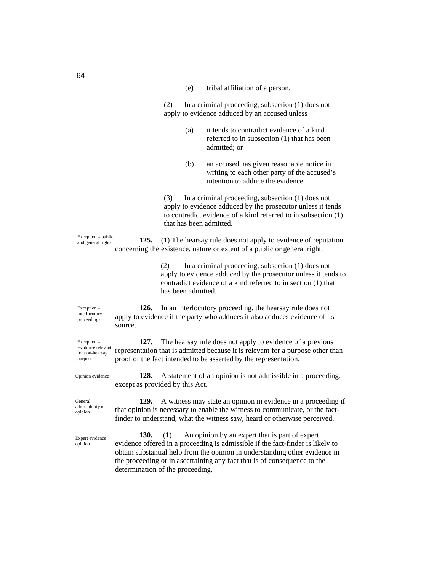| (e) |  | tribal affiliation of a person. |  |  |
|-----|--|---------------------------------|--|--|
|-----|--|---------------------------------|--|--|

(2) In a criminal proceeding, subsection (1) does not apply to evidence adduced by an accused unless –

- (a) it tends to contradict evidence of a kind referred to in subsection (1) that has been admitted; or
- (b) an accused has given reasonable notice in writing to each other party of the accused's intention to adduce the evidence.

(3) In a criminal proceeding, subsection (1) does not apply to evidence adduced by the prosecutor unless it tends to contradict evidence of a kind referred to in subsection (1) that has been admitted.

**125.** (1) The hearsay rule does not apply to evidence of reputation concerning the existence, nature or extent of a public or general right. Exception – public and general rights

> (2) In a criminal proceeding, subsection (1) does not apply to evidence adduced by the prosecutor unless it tends to contradict evidence of a kind referred to in section (1) that has been admitted.

Exception – interlocutory proceedings

**126.** In an interlocutory proceeding, the hearsay rule does not apply to evidence if the party who adduces it also adduces evidence of its source.

**127.** The hearsay rule does not apply to evidence of a previous representation that is admitted because it is relevant for a purpose other than proof of the fact intended to be asserted by the representation. Evidence relevant for non-hearsay

> **128.** A statement of an opinion is not admissible in a proceeding, except as provided by this Act.

General admissibility of opinion

Opinion evidence

Exception –

purpose

Expert evidence opinion

**129.** A witness may state an opinion in evidence in a proceeding if that opinion is necessary to enable the witness to communicate, or the factfinder to understand, what the witness saw, heard or otherwise perceived.

**130.** (1) An opinion by an expert that is part of expert evidence offered in a proceeding is admissible if the fact-finder is likely to obtain substantial help from the opinion in understanding other evidence in the proceeding or in ascertaining any fact that is of consequence to the determination of the proceeding.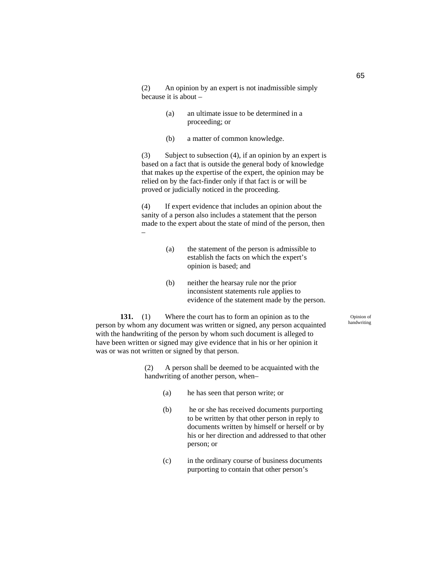(2) An opinion by an expert is not inadmissible simply because it is about –

- (a) an ultimate issue to be determined in a proceeding; or
- (b) a matter of common knowledge.

(3) Subject to subsection (4), if an opinion by an expert is based on a fact that is outside the general body of knowledge that makes up the expertise of the expert, the opinion may be relied on by the fact-finder only if that fact is or will be proved or judicially noticed in the proceeding.

(4) If expert evidence that includes an opinion about the sanity of a person also includes a statement that the person made to the expert about the state of mind of the person, then

- (a) the statement of the person is admissible to establish the facts on which the expert's opinion is based; and
- (b) neither the hearsay rule nor the prior inconsistent statements rule applies to evidence of the statement made by the person.

**131.** (1) Where the court has to form an opinion as to the person by whom any document was written or signed, any person acquainted with the handwriting of the person by whom such document is alleged to have been written or signed may give evidence that in his or her opinion it was or was not written or signed by that person.

–

(2) A person shall be deemed to be acquainted with the handwriting of another person, when–

- (a) he has seen that person write; or
- (b) he or she has received documents purporting to be written by that other person in reply to documents written by himself or herself or by his or her direction and addressed to that other person; or
- (c) in the ordinary course of business documents purporting to contain that other person's

Opinion of handwriting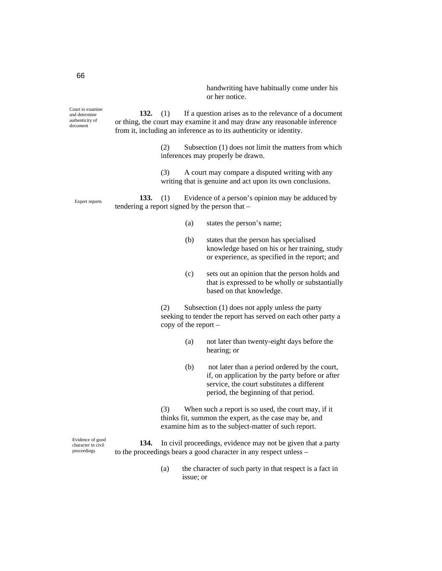handwriting have habitually come under his or her notice.

Court to examine and determine authenticity of document

**132.** (1) If a question arises as to the relevance of a document or thing, the court may examine it and may draw any reasonable inference from it, including an inference as to its authenticity or identity.

> (2) Subsection (1) does not limit the matters from which inferences may properly be drawn.

(3) A court may compare a disputed writing with any writing that is genuine and act upon its own conclusions.

**133.** (1) Evidence of a person's opinion may be adduced by tendering a report signed by the person that – Expert reports

- (a) states the person's name;
- (b) states that the person has specialised knowledge based on his or her training, study or experience, as specified in the report; and
- (c) sets out an opinion that the person holds and that is expressed to be wholly or substantially based on that knowledge.

(2) Subsection (1) does not apply unless the party seeking to tender the report has served on each other party a copy of the report –

- (a) not later than twenty-eight days before the hearing; or
- (b) not later than a period ordered by the court, if, on application by the party before or after service, the court substitutes a different period, the beginning of that period.

(3) When such a report is so used, the court may, if it thinks fit, summon the expert, as the case may be, and examine him as to the subject-matter of such report.

**134.** In civil proceedings, evidence may not be given that a party to the proceedings bears a good character in any respect unless –

> (a) the character of such party in that respect is a fact in issue; or

Evidence of good character in civil proceedings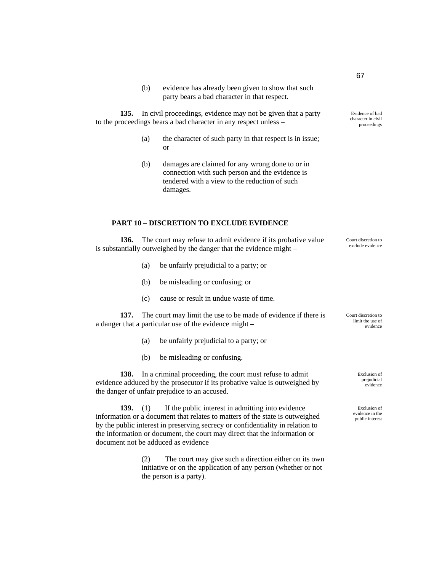(b) evidence has already been given to show that such party bears a bad character in that respect.

**135.** In civil proceedings, evidence may not be given that a party to the proceedings bears a bad character in any respect unless –

- (a) the character of such party in that respect is in issue; or
- (b) damages are claimed for any wrong done to or in connection with such person and the evidence is tendered with a view to the reduction of such damages.

#### **PART 10 – DISCRETION TO EXCLUDE EVIDENCE**

**136.** The court may refuse to admit evidence if its probative value is substantially outweighed by the danger that the evidence might –

- (a) be unfairly prejudicial to a party; or
- (b) be misleading or confusing; or
- (c) cause or result in undue waste of time.

**137.** The court may limit the use to be made of evidence if there is a danger that a particular use of the evidence might –

- (a) be unfairly prejudicial to a party; or
- (b) be misleading or confusing.

**138.** In a criminal proceeding, the court must refuse to admit evidence adduced by the prosecutor if its probative value is outweighed by the danger of unfair prejudice to an accused.

**139.** (1) If the public interest in admitting into evidence information or a document that relates to matters of the state is outweighed by the public interest in preserving secrecy or confidentiality in relation to the information or document, the court may direct that the information or document not be adduced as evidence

> (2) The court may give such a direction either on its own initiative or on the application of any person (whether or not the person is a party).

character in civil proceedings

Evidence of bad

Court discretion to exclude evidence

Court discretion to limit the use of evidence

> Exclusion of prejudicial evidence

Exclusion of evidence in the public interest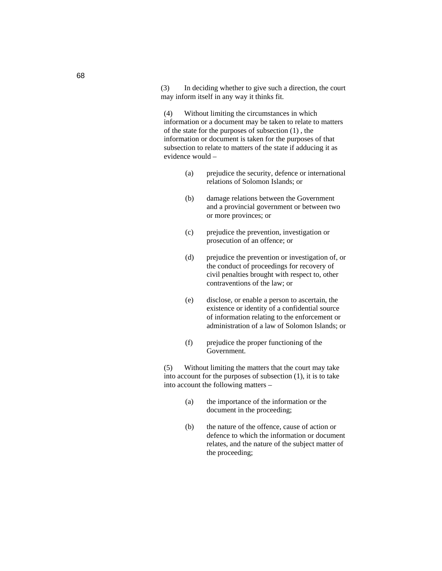(3) In deciding whether to give such a direction, the court may inform itself in any way it thinks fit.

(4) Without limiting the circumstances in which information or a document may be taken to relate to matters of the state for the purposes of subsection (1) , the information or document is taken for the purposes of that subsection to relate to matters of the state if adducing it as evidence would –

- (a) prejudice the security, defence or international relations of Solomon Islands; or
- (b) damage relations between the Government and a provincial government or between two or more provinces; or
- (c) prejudice the prevention, investigation or prosecution of an offence; or
- (d) prejudice the prevention or investigation of, or the conduct of proceedings for recovery of civil penalties brought with respect to, other contraventions of the law; or
- (e) disclose, or enable a person to ascertain, the existence or identity of a confidential source of information relating to the enforcement or administration of a law of Solomon Islands; or
- (f) prejudice the proper functioning of the Government.

(5) Without limiting the matters that the court may take into account for the purposes of subsection (1), it is to take into account the following matters –

- (a) the importance of the information or the document in the proceeding;
- (b) the nature of the offence, cause of action or defence to which the information or document relates, and the nature of the subject matter of the proceeding;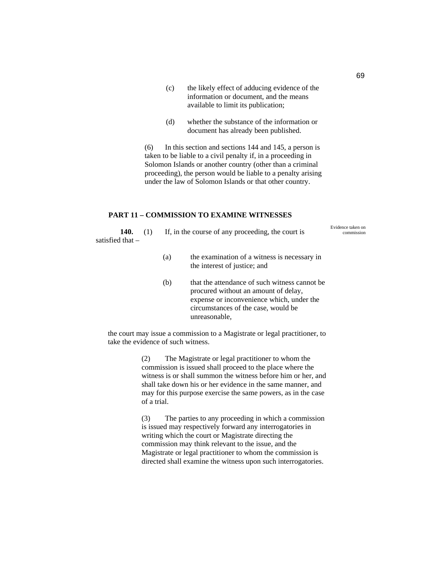- (c) the likely effect of adducing evidence of the information or document, and the means available to limit its publication;
- (d) whether the substance of the information or document has already been published.

(6) In this section and sections 144 and 145, a person is taken to be liable to a civil penalty if, in a proceeding in Solomon Islands or another country (other than a criminal proceeding), the person would be liable to a penalty arising under the law of Solomon Islands or that other country.

## **PART 11 – COMMISSION TO EXAMINE WITNESSES**

140. (1) If, in the course of any proceeding, the court is satisfied that – Evidence taken on commission

- (a) the examination of a witness is necessary in the interest of justice; and
- (b) that the attendance of such witness cannot be procured without an amount of delay, expense or inconvenience which, under the circumstances of the case, would be unreasonable,

the court may issue a commission to a Magistrate or legal practitioner, to take the evidence of such witness.

> (2) The Magistrate or legal practitioner to whom the commission is issued shall proceed to the place where the witness is or shall summon the witness before him or her, and shall take down his or her evidence in the same manner, and may for this purpose exercise the same powers, as in the case of a trial.

> (3) The parties to any proceeding in which a commission is issued may respectively forward any interrogatories in writing which the court or Magistrate directing the commission may think relevant to the issue, and the Magistrate or legal practitioner to whom the commission is directed shall examine the witness upon such interrogatories.

69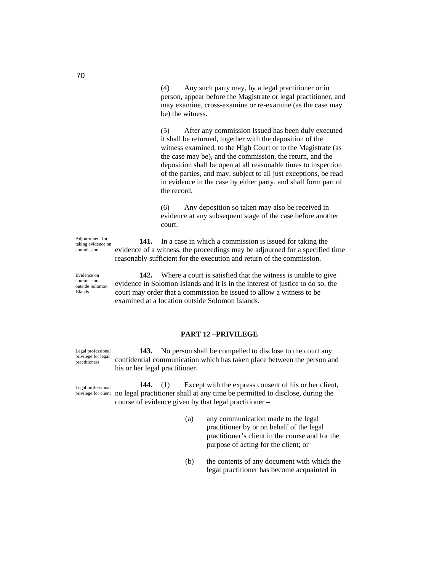(4) Any such party may, by a legal practitioner or in person, appear before the Magistrate or legal practitioner, and may examine, cross-examine or re-examine (as the case may be) the witness.

(5) After any commission issued has been duly executed it shall be returned, together with the deposition of the witness examined, to the High Court or to the Magistrate (as the case may be), and the commission, the return, and the deposition shall be open at all reasonable times to inspection of the parties, and may, subject to all just exceptions, be read in evidence in the case by either party, and shall form part of the record.

(6) Any deposition so taken may also be received in evidence at any subsequent stage of the case before another court.

Adjournment for taking evidence on commission

**141.** In a case in which a commission is issued for taking the evidence of a witness, the proceedings may be adjourned for a specified time reasonably sufficient for the execution and return of the commission.

Evidence on commission outside Solomon Islands

**142.** Where a court is satisfied that the witness is unable to give evidence in Solomon Islands and it is in the interest of justice to do so, the court may order that a commission be issued to allow a witness to be examined at a location outside Solomon Islands.

# **PART 12 –PRIVILEGE**

Legal professional privilege for legal practitioners

**143.** No person shall be compelled to disclose to the court any confidential communication which has taken place between the person and his or her legal practitioner.

Legal professional privilege for client

**144.** (1) Except with the express consent of his or her client, no legal practitioner shall at any time be permitted to disclose, during the course of evidence given by that legal practitioner –

- (a) any communication made to the legal practitioner by or on behalf of the legal practitioner's client in the course and for the purpose of acting for the client; or
- (b) the contents of any document with which the legal practitioner has become acquainted in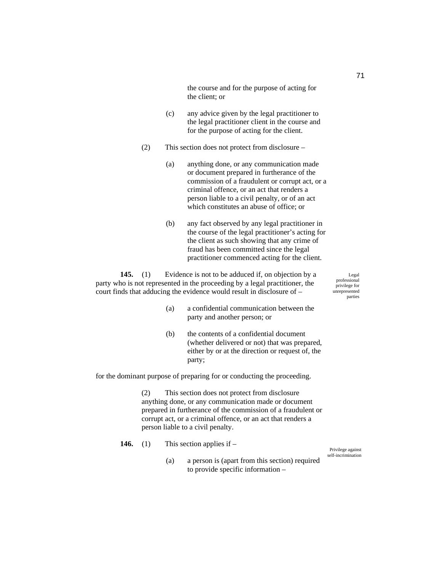the course and for the purpose of acting for the client; or

- (c) any advice given by the legal practitioner to the legal practitioner client in the course and for the purpose of acting for the client.
- (2) This section does not protect from disclosure
	- (a) anything done, or any communication made or document prepared in furtherance of the commission of a fraudulent or corrupt act, or a criminal offence, or an act that renders a person liable to a civil penalty, or of an act which constitutes an abuse of office; or
	- (b) any fact observed by any legal practitioner in the course of the legal practitioner's acting for the client as such showing that any crime of fraud has been committed since the legal practitioner commenced acting for the client.

**145.** (1) Evidence is not to be adduced if, on objection by a party who is not represented in the proceeding by a legal practitioner, the court finds that adducing the evidence would result in disclosure of –

Legal professional privilege for unrepresented parties

Privilege against self-incrimination

- (a) a confidential communication between the party and another person; or
- (b) the contents of a confidential document (whether delivered or not) that was prepared, either by or at the direction or request of, the party;

for the dominant purpose of preparing for or conducting the proceeding.

(2) This section does not protect from disclosure anything done, or any communication made or document prepared in furtherance of the commission of a fraudulent or corrupt act, or a criminal offence, or an act that renders a person liable to a civil penalty.

- **146.** (1) This section applies if
	- (a) a person is (apart from this section) required to provide specific information –

71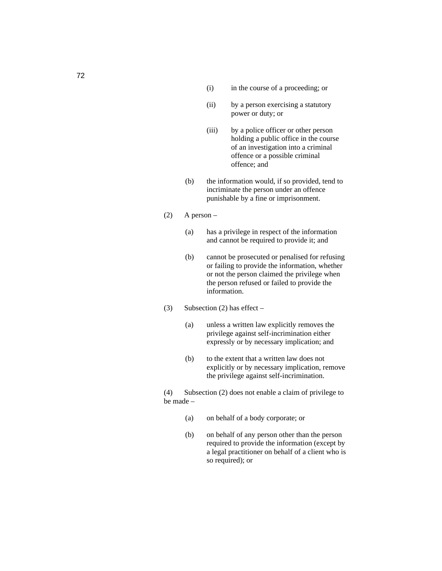- (i) in the course of a proceeding; or
- (ii) by a person exercising a statutory power or duty; or
- (iii) by a police officer or other person holding a public office in the course of an investigation into a criminal offence or a possible criminal offence; and
- (b) the information would, if so provided, tend to incriminate the person under an offence punishable by a fine or imprisonment.
- $(2)$  A person
	- (a) has a privilege in respect of the information and cannot be required to provide it; and
	- (b) cannot be prosecuted or penalised for refusing or failing to provide the information, whether or not the person claimed the privilege when the person refused or failed to provide the information.
- (3) Subsection (2) has effect
	- (a) unless a written law explicitly removes the privilege against self-incrimination either expressly or by necessary implication; and
	- (b) to the extent that a written law does not explicitly or by necessary implication, remove the privilege against self-incrimination.

(4) Subsection (2) does not enable a claim of privilege to be made –

- (a) on behalf of a body corporate; or
- (b) on behalf of any person other than the person required to provide the information (except by a legal practitioner on behalf of a client who is so required); or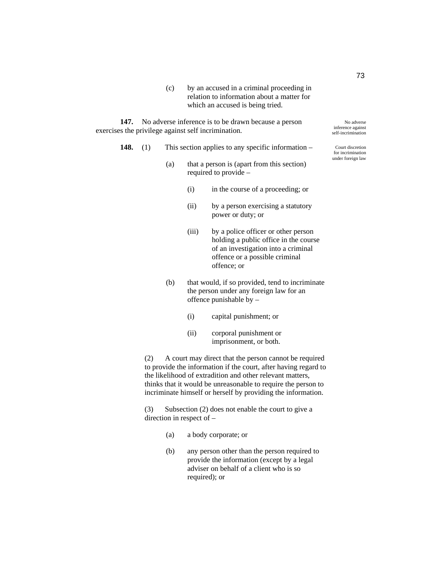(c) by an accused in a criminal proceeding in relation to information about a matter for which an accused is being tried.

**147.** No adverse inference is to be drawn because a person exercises the privilege against self incrimination.

- **148.** (1) This section applies to any specific information
	- (a) that a person is (apart from this section) required to provide –
		- (i) in the course of a proceeding; or
		- (ii) by a person exercising a statutory power or duty; or
		- (iii) by a police officer or other person holding a public office in the course of an investigation into a criminal offence or a possible criminal offence; or
	- (b) that would, if so provided, tend to incriminate the person under any foreign law for an offence punishable by –
		- (i) capital punishment; or
		- (ii) corporal punishment or imprisonment, or both.

(2) A court may direct that the person cannot be required to provide the information if the court, after having regard to the likelihood of extradition and other relevant matters, thinks that it would be unreasonable to require the person to incriminate himself or herself by providing the information.

(3) Subsection (2) does not enable the court to give a direction in respect of –

- (a) a body corporate; or
- (b) any person other than the person required to provide the information (except by a legal adviser on behalf of a client who is so required); or

No adverse inference against self-incrimination

Court discretion for incrimination under foreign law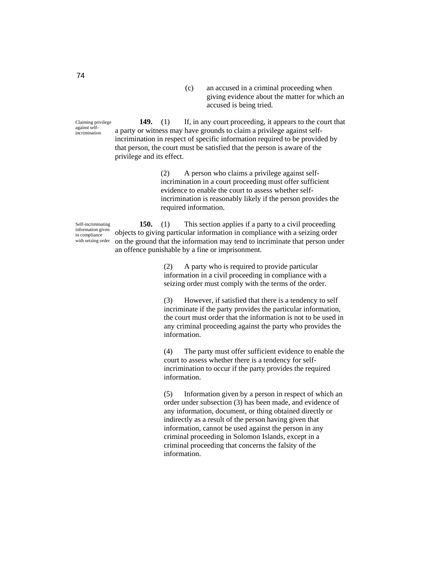(c) an accused in a criminal proceeding when giving evidence about the matter for which an accused is being tried.

**149.** (1) If, in any court proceeding, it appears to the court that a party or witness may have grounds to claim a privilege against selfincrimination in respect of specific information required to be provided by that person, the court must be satisfied that the person is aware of the privilege and its effect.

> (2) A person who claims a privilege against selfincrimination in a court proceeding must offer sufficient evidence to enable the court to assess whether selfincrimination is reasonably likely if the person provides the required information.

Self-incriminating information given in compliance with seizing order

**150.** (1) This section applies if a party to a civil proceeding objects to giving particular information in compliance with a seizing order on the ground that the information may tend to incriminate that person under an offence punishable by a fine or imprisonment.

> (2) A party who is required to provide particular information in a civil proceeding in compliance with a seizing order must comply with the terms of the order.

(3) However, if satisfied that there is a tendency to self incriminate if the party provides the particular information, the court must order that the information is not to be used in any criminal proceeding against the party who provides the information.

(4) The party must offer sufficient evidence to enable the court to assess whether there is a tendency for selfincrimination to occur if the party provides the required information.

(5) Information given by a person in respect of which an order under subsection (3) has been made, and evidence of any information, document, or thing obtained directly or indirectly as a result of the person having given that information, cannot be used against the person in any criminal proceeding in Solomon Islands, except in a criminal proceeding that concerns the falsity of the information.

Claiming privilege against selfincrimination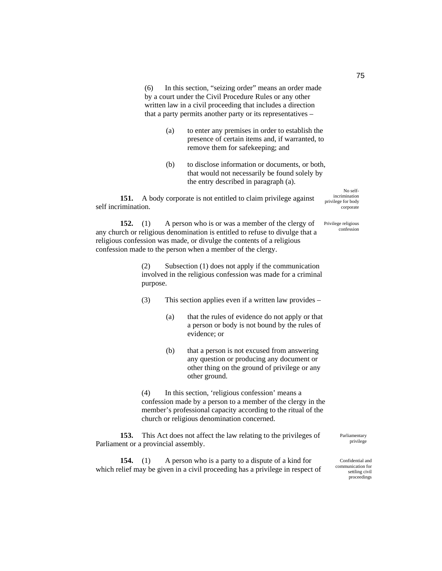(6) In this section, "seizing order" means an order made by a court under the Civil Procedure Rules or any other written law in a civil proceeding that includes a direction that a party permits another party or its representatives –

- (a) to enter any premises in order to establish the presence of certain items and, if warranted, to remove them for safekeeping; and
- (b) to disclose information or documents, or both, that would not necessarily be found solely by the entry described in paragraph (a).

**151.** A body corporate is not entitled to claim privilege against self incrimination.

**152.** (1) A person who is or was a member of the clergy of any church or religious denomination is entitled to refuse to divulge that a religious confession was made, or divulge the contents of a religious confession made to the person when a member of the clergy.

> (2) Subsection (1) does not apply if the communication involved in the religious confession was made for a criminal purpose.

- (3) This section applies even if a written law provides
	- (a) that the rules of evidence do not apply or that a person or body is not bound by the rules of evidence; or
	- (b) that a person is not excused from answering any question or producing any document or other thing on the ground of privilege or any other ground.

(4) In this section, 'religious confession' means a confession made by a person to a member of the clergy in the member's professional capacity according to the ritual of the church or religious denomination concerned.

**153.** This Act does not affect the law relating to the privileges of Parliament or a provincial assembly.

**154.** (1) A person who is a party to a dispute of a kind for which relief may be given in a civil proceeding has a privilege in respect of Parliamentary privilege

Confidential and communication for settling civil proceedings

75

corporate Privilege religious

No selfincrimination privilege for body

confession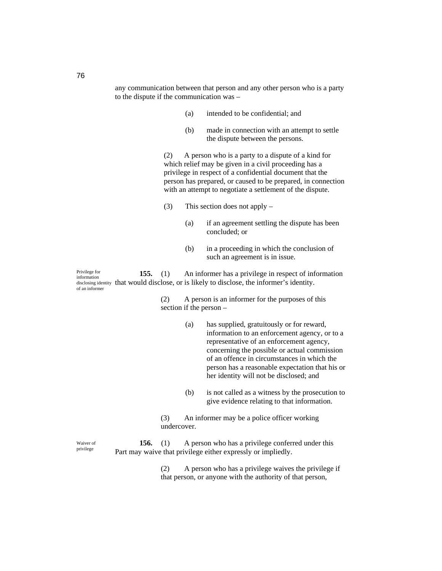any communication between that person and any other person who is a party to the dispute if the communication was –

- (a) intended to be confidential; and
- (b) made in connection with an attempt to settle the dispute between the persons.

(2) A person who is a party to a dispute of a kind for which relief may be given in a civil proceeding has a privilege in respect of a confidential document that the person has prepared, or caused to be prepared, in connection with an attempt to negotiate a settlement of the dispute.

- (3) This section does not apply
	- (a) if an agreement settling the dispute has been concluded; or
	- (b) in a proceeding in which the conclusion of such an agreement is in issue.

**155.** (1) An informer has a privilege in respect of information disclosing identity that would disclose, or is likely to disclose, the informer's identity. Privilege for information of an informer

> (2) A person is an informer for the purposes of this section if the person –

- (a) has supplied, gratuitously or for reward, information to an enforcement agency, or to a representative of an enforcement agency, concerning the possible or actual commission of an offence in circumstances in which the person has a reasonable expectation that his or her identity will not be disclosed; and
- (b) is not called as a witness by the prosecution to give evidence relating to that information.
- (3) An informer may be a police officer working undercover.

**156.** (1) A person who has a privilege conferred under this Part may waive that privilege either expressly or impliedly.

> (2) A person who has a privilege waives the privilege if that person, or anyone with the authority of that person,

Waiver of privilege

76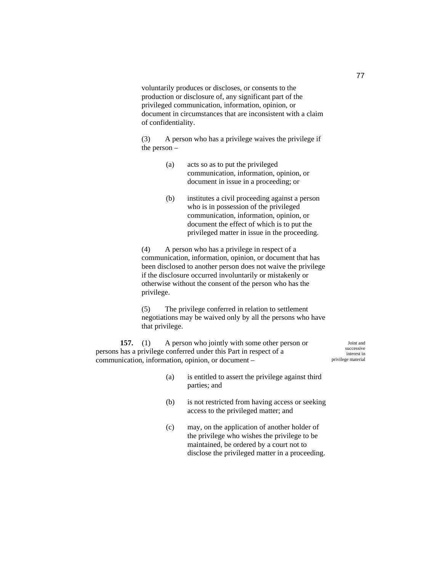voluntarily produces or discloses, or consents to the production or disclosure of, any significant part of the privileged communication, information, opinion, or document in circumstances that are inconsistent with a claim of confidentiality.

(3) A person who has a privilege waives the privilege if the person –

- (a) acts so as to put the privileged communication, information, opinion, or document in issue in a proceeding; or
- (b) institutes a civil proceeding against a person who is in possession of the privileged communication, information, opinion, or document the effect of which is to put the privileged matter in issue in the proceeding.

(4) A person who has a privilege in respect of a communication, information, opinion, or document that has been disclosed to another person does not waive the privilege if the disclosure occurred involuntarily or mistakenly or otherwise without the consent of the person who has the privilege.

(5) The privilege conferred in relation to settlement negotiations may be waived only by all the persons who have that privilege.

**157.** (1) A person who jointly with some other person or persons has a privilege conferred under this Part in respect of a communication, information, opinion, or document –

Joint and successive interest in privilege material

- (a) is entitled to assert the privilege against third parties; and
- (b) is not restricted from having access or seeking access to the privileged matter; and
- (c) may, on the application of another holder of the privilege who wishes the privilege to be maintained, be ordered by a court not to disclose the privileged matter in a proceeding.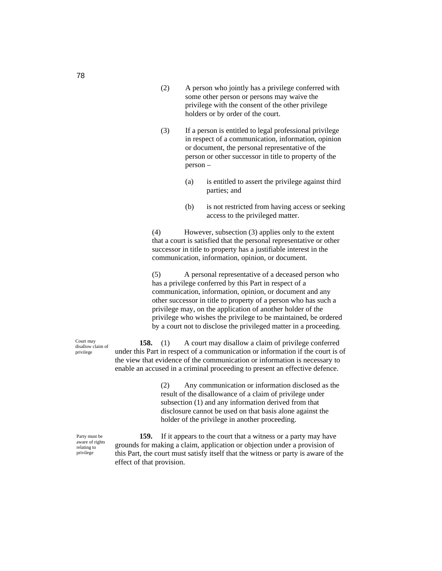- (2) A person who jointly has a privilege conferred with some other person or persons may waive the privilege with the consent of the other privilege holders or by order of the court.
- (3) If a person is entitled to legal professional privilege in respect of a communication, information, opinion or document, the personal representative of the person or other successor in title to property of the person –
	- (a) is entitled to assert the privilege against third parties; and
	- (b) is not restricted from having access or seeking access to the privileged matter.

(4) However, subsection (3) applies only to the extent that a court is satisfied that the personal representative or other successor in title to property has a justifiable interest in the communication, information, opinion, or document.

(5) A personal representative of a deceased person who has a privilege conferred by this Part in respect of a communication, information, opinion, or document and any other successor in title to property of a person who has such a privilege may, on the application of another holder of the privilege who wishes the privilege to be maintained, be ordered by a court not to disclose the privileged matter in a proceeding.

**158.** (1) A court may disallow a claim of privilege conferred under this Part in respect of a communication or information if the court is of the view that evidence of the communication or information is necessary to enable an accused in a criminal proceeding to present an effective defence.

> (2) Any communication or information disclosed as the result of the disallowance of a claim of privilege under subsection (1) and any information derived from that disclosure cannot be used on that basis alone against the holder of the privilege in another proceeding.

**159.** If it appears to the court that a witness or a party may have grounds for making a claim, application or objection under a provision of this Part, the court must satisfy itself that the witness or party is aware of the effect of that provision.

Court may disallow claim of privilege

Party must be aware of rights relating to privilege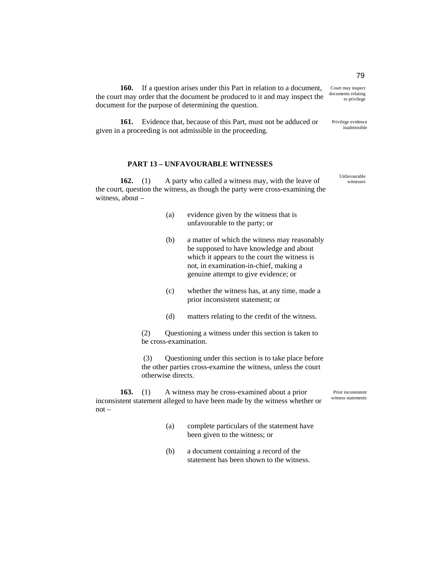**160.** If a question arises under this Part in relation to a document, the court may order that the document be produced to it and may inspect the document for the purpose of determining the question.

**161.** Evidence that, because of this Part, must not be adduced or given in a proceeding is not admissible in the proceeding.

### **PART 13 – UNFAVOURABLE WITNESSES**

**162.** (1) A party who called a witness may, with the leave of the court, question the witness, as though the party were cross-examining the witness, about –

- (a) evidence given by the witness that is unfavourable to the party; or
- (b) a matter of which the witness may reasonably be supposed to have knowledge and about which it appears to the court the witness is not, in examination-in-chief, making a genuine attempt to give evidence; or
- (c) whether the witness has, at any time, made a prior inconsistent statement; or
- (d) matters relating to the credit of the witness.

(2) Questioning a witness under this section is taken to be cross-examination.

 (3) Questioning under this section is to take place before the other parties cross-examine the witness, unless the court otherwise directs.

**163.** (1) A witness may be cross-examined about a prior inconsistent statement alleged to have been made by the witness whether or not –

- (a) complete particulars of the statement have been given to the witness; or
- (b) a document containing a record of the statement has been shown to the witness.

79 Court may inspect

Privilege evidence

documents relating to privilege

inadmissible

Unfavourable witnesses

Prior inconsistent witness statements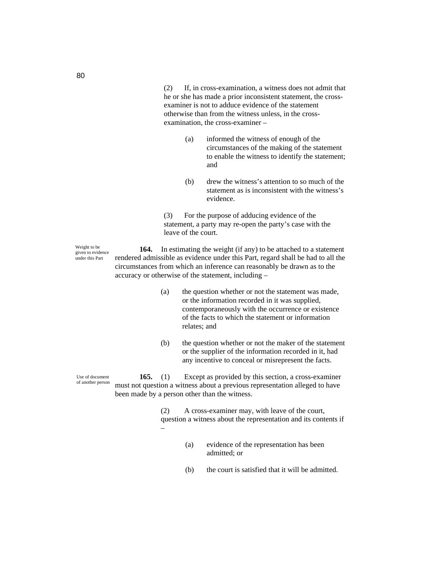(2) If, in cross-examination, a witness does not admit that he or she has made a prior inconsistent statement, the crossexaminer is not to adduce evidence of the statement otherwise than from the witness unless, in the crossexamination, the cross-examiner –

- (a) informed the witness of enough of the circumstances of the making of the statement to enable the witness to identify the statement; and
- (b) drew the witness's attention to so much of the statement as is inconsistent with the witness's evidence.

(3) For the purpose of adducing evidence of the statement, a party may re-open the party's case with the leave of the court.

**164.** In estimating the weight (if any) to be attached to a statement rendered admissible as evidence under this Part, regard shall be had to all the circumstances from which an inference can reasonably be drawn as to the accuracy or otherwise of the statement, including –

- (a) the question whether or not the statement was made, or the information recorded in it was supplied, contemporaneously with the occurrence or existence of the facts to which the statement or information relates; and
- (b) the question whether or not the maker of the statement or the supplier of the information recorded in it, had any incentive to conceal or misrepresent the facts.

**165.** (1) Except as provided by this section, a cross-examiner must not question a witness about a previous representation alleged to have been made by a person other than the witness.

> (2) A cross-examiner may, with leave of the court, question a witness about the representation and its contents if –

- (a) evidence of the representation has been admitted; or
- (b) the court is satisfied that it will be admitted.

Use of document of another person

Weight to be given to evidence under this Part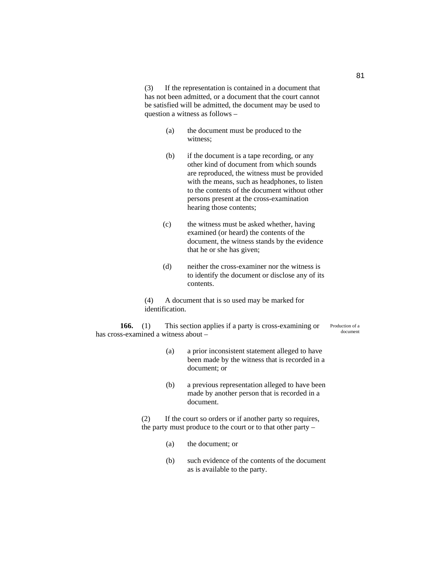(3) If the representation is contained in a document that has not been admitted, or a document that the court cannot be satisfied will be admitted, the document may be used to question a witness as follows –

- (a) the document must be produced to the witness;
- (b) if the document is a tape recording, or any other kind of document from which sounds are reproduced, the witness must be provided with the means, such as headphones, to listen to the contents of the document without other persons present at the cross-examination hearing those contents;
- (c) the witness must be asked whether, having examined (or heard) the contents of the document, the witness stands by the evidence that he or she has given;
- (d) neither the cross-examiner nor the witness is to identify the document or disclose any of its contents.

(4) A document that is so used may be marked for identification.

**166.** (1) This section applies if a party is cross-examining or has cross-examined a witness about –

Production of a document

- (a) a prior inconsistent statement alleged to have been made by the witness that is recorded in a document; or
- (b) a previous representation alleged to have been made by another person that is recorded in a document.

(2) If the court so orders or if another party so requires, the party must produce to the court or to that other party –

- (a) the document; or
- (b) such evidence of the contents of the document as is available to the party.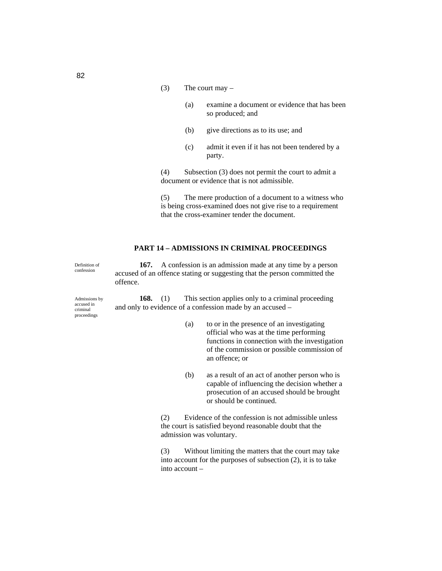- (3) The court may  $-$ 
	- (a) examine a document or evidence that has been so produced; and
	- (b) give directions as to its use; and
	- (c) admit it even if it has not been tendered by a party.

(4) Subsection (3) does not permit the court to admit a document or evidence that is not admissible.

(5) The mere production of a document to a witness who is being cross-examined does not give rise to a requirement that the cross-examiner tender the document.

## **PART 14 – ADMISSIONS IN CRIMINAL PROCEEDINGS**

Definition of confession

**167.** A confession is an admission made at any time by a person accused of an offence stating or suggesting that the person committed the offence.

Admissions by accused in criminal proceedings

**168.** (1) This section applies only to a criminal proceeding and only to evidence of a confession made by an accused –

- (a) to or in the presence of an investigating official who was at the time performing functions in connection with the investigation of the commission or possible commission of an offence; or
- (b) as a result of an act of another person who is capable of influencing the decision whether a prosecution of an accused should be brought or should be continued.

(2) Evidence of the confession is not admissible unless the court is satisfied beyond reasonable doubt that the admission was voluntary.

(3) Without limiting the matters that the court may take into account for the purposes of subsection (2), it is to take into account –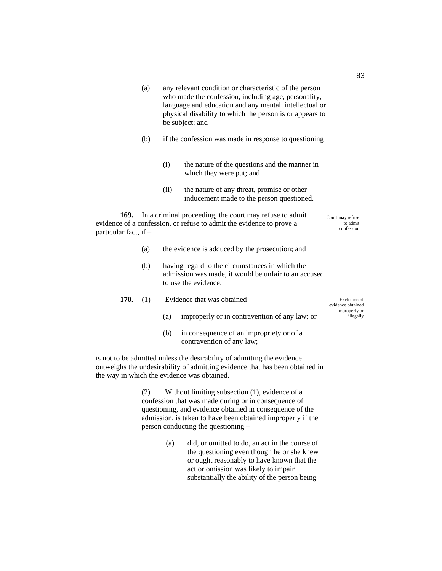- (a) any relevant condition or characteristic of the person who made the confession, including age, personality, language and education and any mental, intellectual or physical disability to which the person is or appears to be subject; and
- (b) if the confession was made in response to questioning –
	- (i) the nature of the questions and the manner in which they were put; and
	- (ii) the nature of any threat, promise or other inducement made to the person questioned.

**169.** In a criminal proceeding, the court may refuse to admit evidence of a confession, or refuse to admit the evidence to prove a particular fact, if – Court may refuse

- (a) the evidence is adduced by the prosecution; and
- (b) having regard to the circumstances in which the admission was made, it would be unfair to an accused to use the evidence.
- **170.** (1) Evidence that was obtained Exclusion of evidence obtained improperly or
	- (a) improperly or in contravention of any law; or
	- (b) in consequence of an impropriety or of a contravention of any law;

is not to be admitted unless the desirability of admitting the evidence outweighs the undesirability of admitting evidence that has been obtained in the way in which the evidence was obtained.

> (2) Without limiting subsection (1), evidence of a confession that was made during or in consequence of questioning, and evidence obtained in consequence of the admission, is taken to have been obtained improperly if the person conducting the questioning –

> > (a) did, or omitted to do, an act in the course of the questioning even though he or she knew or ought reasonably to have known that the act or omission was likely to impair substantially the ability of the person being

to admit confession

illegally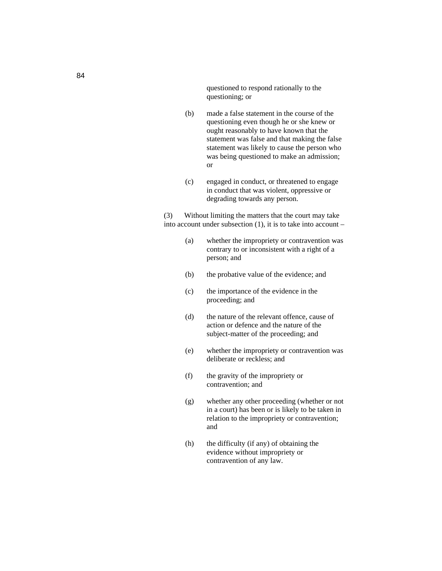questioned to respond rationally to the questioning; or

- (b) made a false statement in the course of the questioning even though he or she knew or ought reasonably to have known that the statement was false and that making the false statement was likely to cause the person who was being questioned to make an admission; or
- (c) engaged in conduct, or threatened to engage in conduct that was violent, oppressive or degrading towards any person.

(3) Without limiting the matters that the court may take into account under subsection (1), it is to take into account –

- (a) whether the impropriety or contravention was contrary to or inconsistent with a right of a person; and
- (b) the probative value of the evidence; and
- (c) the importance of the evidence in the proceeding; and
- (d) the nature of the relevant offence, cause of action or defence and the nature of the subject-matter of the proceeding; and
- (e) whether the impropriety or contravention was deliberate or reckless; and
- (f) the gravity of the impropriety or contravention; and
- (g) whether any other proceeding (whether or not in a court) has been or is likely to be taken in relation to the impropriety or contravention; and
- (h) the difficulty (if any) of obtaining the evidence without impropriety or contravention of any law.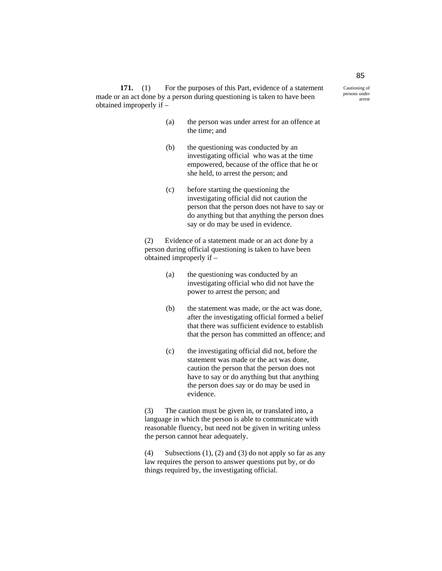171. (1) For the purposes of this Part, evidence of a statement made or an act done by a person during questioning is taken to have been obtained improperly if –

- (a) the person was under arrest for an offence at the time; and
- (b) the questioning was conducted by an investigating official who was at the time empowered, because of the office that he or she held, to arrest the person; and
- (c) before starting the questioning the investigating official did not caution the person that the person does not have to say or do anything but that anything the person does say or do may be used in evidence.

(2) Evidence of a statement made or an act done by a person during official questioning is taken to have been obtained improperly if –

- (a) the questioning was conducted by an investigating official who did not have the power to arrest the person; and
- (b) the statement was made, or the act was done, after the investigating official formed a belief that there was sufficient evidence to establish that the person has committed an offence; and
- (c) the investigating official did not, before the statement was made or the act was done, caution the person that the person does not have to say or do anything but that anything the person does say or do may be used in evidence.

(3) The caution must be given in, or translated into, a language in which the person is able to communicate with reasonable fluency, but need not be given in writing unless the person cannot hear adequately.

(4) Subsections (1), (2) and (3) do not apply so far as any law requires the person to answer questions put by, or do things required by, the investigating official.

85 Cautioning of

persons under arrest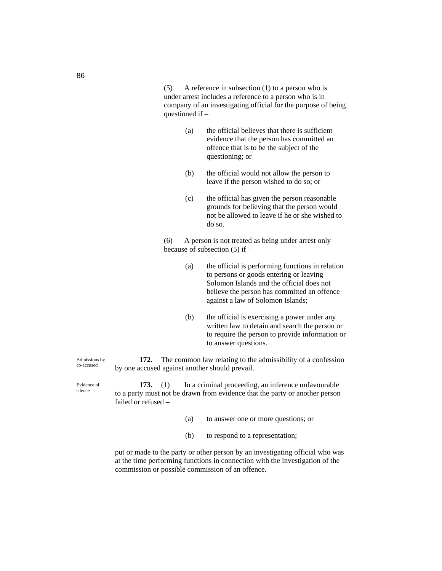(5) A reference in subsection (1) to a person who is under arrest includes a reference to a person who is in company of an investigating official for the purpose of being questioned if –

- (a) the official believes that there is sufficient evidence that the person has committed an offence that is to be the subject of the questioning; or
- (b) the official would not allow the person to leave if the person wished to do so; or
- (c) the official has given the person reasonable grounds for believing that the person would not be allowed to leave if he or she wished to do so.

(6) A person is not treated as being under arrest only because of subsection (5) if –

- (a) the official is performing functions in relation to persons or goods entering or leaving Solomon Islands and the official does not believe the person has committed an offence against a law of Solomon Islands;
- (b) the official is exercising a power under any written law to detain and search the person or to require the person to provide information or to answer questions.

**172.** The common law relating to the admissibility of a confession by one accused against another should prevail.

**173.** (1) In a criminal proceeding, an inference unfavourable to a party must not be drawn from evidence that the party or another person failed or refused –

- (a) to answer one or more questions; or
- (b) to respond to a representation;

put or made to the party or other person by an investigating official who was at the time performing functions in connection with the investigation of the commission or possible commission of an offence.

86

Admissions by co-accused

Evidence of silence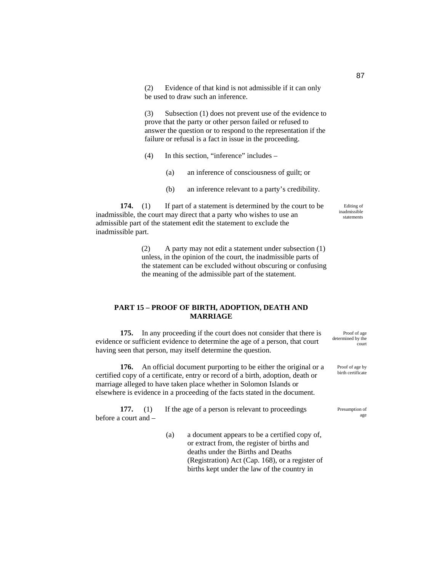(2) Evidence of that kind is not admissible if it can only be used to draw such an inference.

(3) Subsection (1) does not prevent use of the evidence to prove that the party or other person failed or refused to answer the question or to respond to the representation if the failure or refusal is a fact in issue in the proceeding.

- (4) In this section, "inference" includes
	- (a) an inference of consciousness of guilt; or
	- (b) an inference relevant to a party's credibility.

**174.** (1) If part of a statement is determined by the court to be inadmissible, the court may direct that a party who wishes to use an admissible part of the statement edit the statement to exclude the inadmissible part.

> (2) A party may not edit a statement under subsection (1) unless, in the opinion of the court, the inadmissible parts of the statement can be excluded without obscuring or confusing the meaning of the admissible part of the statement.

### **PART 15 – PROOF OF BIRTH, ADOPTION, DEATH AND MARRIAGE**

**175.** In any proceeding if the court does not consider that there is evidence or sufficient evidence to determine the age of a person, that court having seen that person, may itself determine the question.

**176.** An official document purporting to be either the original or a certified copy of a certificate, entry or record of a birth, adoption, death or marriage alleged to have taken place whether in Solomon Islands or elsewhere is evidence in a proceeding of the facts stated in the document.

**177.** (1) If the age of a person is relevant to proceedings before a court and –

> (a) a document appears to be a certified copy of, or extract from, the register of births and deaths under the Births and Deaths (Registration) Act (Cap. 168), or a register of births kept under the law of the country in

Editing of inadmissible statements

Proof of age determined by the court

> Proof of age by birth certificate

Presumption of age

87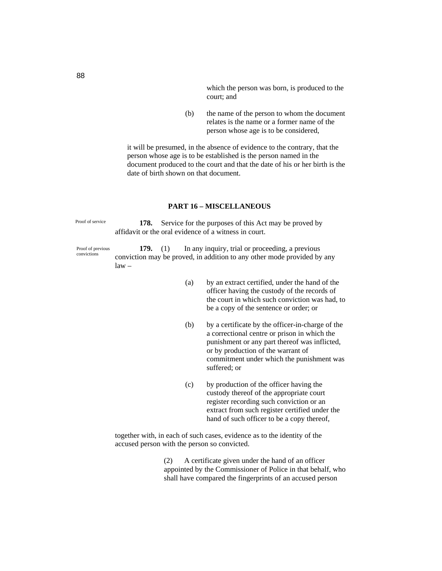which the person was born, is produced to the court; and

(b) the name of the person to whom the document relates is the name or a former name of the person whose age is to be considered,

it will be presumed, in the absence of evidence to the contrary, that the person whose age is to be established is the person named in the document produced to the court and that the date of his or her birth is the date of birth shown on that document.

## **PART 16 – MISCELLANEOUS**

Proof of service

**178.** Service for the purposes of this Act may be proved by affidavit or the oral evidence of a witness in court.

Proof of previous convictions

law –

**179.** (1) In any inquiry, trial or proceeding, a previous conviction may be proved, in addition to any other mode provided by any

- (a) by an extract certified, under the hand of the officer having the custody of the records of the court in which such conviction was had, to be a copy of the sentence or order; or
- (b) by a certificate by the officer-in-charge of the a correctional centre or prison in which the punishment or any part thereof was inflicted, or by production of the warrant of commitment under which the punishment was suffered; or
- (c) by production of the officer having the custody thereof of the appropriate court register recording such conviction or an extract from such register certified under the hand of such officer to be a copy thereof,

together with, in each of such cases, evidence as to the identity of the accused person with the person so convicted.

> (2) A certificate given under the hand of an officer appointed by the Commissioner of Police in that behalf, who shall have compared the fingerprints of an accused person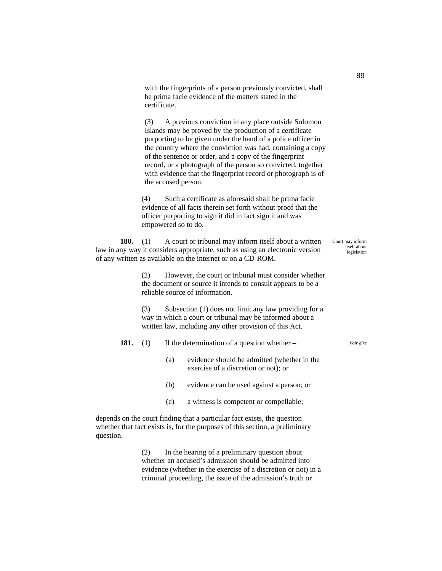with the fingerprints of a person previously convicted, shall be prima facie evidence of the matters stated in the certificate.

(3) A previous conviction in any place outside Solomon Islands may be proved by the production of a certificate purporting to be given under the hand of a police officer in the country where the conviction was had, containing a copy of the sentence or order, and a copy of the fingerprint record, or a photograph of the person so convicted, together with evidence that the fingerprint record or photograph is of the accused person.

(4) Such a certificate as aforesaid shall be prima facie evidence of all facts therein set forth without proof that the officer purporting to sign it did in fact sign it and was empowered so to do.

**180.** (1) A court or tribunal may inform itself about a written law in any way it considers appropriate, such as using an electronic version of any written as available on the internet or on a CD-ROM.

> (2) However, the court or tribunal must consider whether the document or source it intends to consult appears to be a reliable source of information.

> (3) Subsection (1) does not limit any law providing for a way in which a court or tribunal may be informed about a written law, including any other provision of this Act.

#### **181.** (1) If the determination of a question whether – *Voir dire*

- (a) evidence should be admitted (whether in the exercise of a discretion or not); or
- (b) evidence can be used against a person; or
- (c) a witness is competent or compellable;

depends on the court finding that a particular fact exists, the question whether that fact exists is, for the purposes of this section, a preliminary question.

> (2) In the hearing of a preliminary question about whether an accused's admission should be admitted into evidence (whether in the exercise of a discretion or not) in a criminal proceeding, the issue of the admission's truth or

89

Court may inform itself about legislation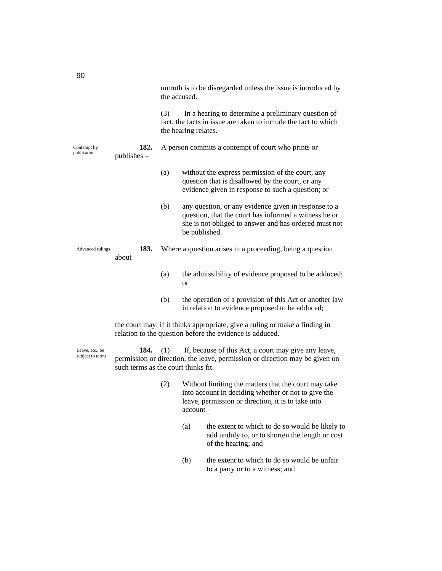|                            |                                                                                                                                         | the accused. | untruth is to be disregarded unless the issue is introduced by                                                                                                                          |
|----------------------------|-----------------------------------------------------------------------------------------------------------------------------------------|--------------|-----------------------------------------------------------------------------------------------------------------------------------------------------------------------------------------|
|                            |                                                                                                                                         | (3)          | In a hearing to determine a preliminary question of<br>fact, the facts in issue are taken to include the fact to which<br>the hearing relates.                                          |
| Contempt by<br>publication | 182.<br>$publishes -$                                                                                                                   |              | A person commits a contempt of court who prints or                                                                                                                                      |
|                            |                                                                                                                                         | (a)          | without the express permission of the court, any<br>question that is disallowed by the court, or any<br>evidence given in response to such a question; or                               |
|                            |                                                                                                                                         | (b)          | any question, or any evidence given in response to a<br>question, that the court has informed a witness he or<br>she is not obliged to answer and has ordered must not<br>be published. |
| Advanced rulings           | 183.<br>about $-$                                                                                                                       |              | Where a question arises in a proceeding, being a question                                                                                                                               |
|                            |                                                                                                                                         | (a)          | the admissibility of evidence proposed to be adduced;<br><b>or</b>                                                                                                                      |
|                            |                                                                                                                                         | (b)          | the operation of a provision of this Act or another law<br>in relation to evidence proposed to be adduced;                                                                              |
|                            | the court may, if it thinks appropriate, give a ruling or make a finding in<br>relation to the question before the evidence is adduced. |              |                                                                                                                                                                                         |
| Leave, etc., be            | 184. $(1)$                                                                                                                              |              | If, because of this Act, a court may give any leave.                                                                                                                                    |

**184.** (1) If, because of this Act, a court may give any leave, permission or direction, the leave, permission or direction may be given on such terms as the court thinks fit.

- (2) Without limiting the matters that the court may take into account in deciding whether or not to give the leave, permission or direction, it is to take into account –
	- (a) the extent to which to do so would be likely to add unduly to, or to shorten the length or cost of the hearing; and
	- (b) the extent to which to do so would be unfair to a party or to a witness; and

subject to terms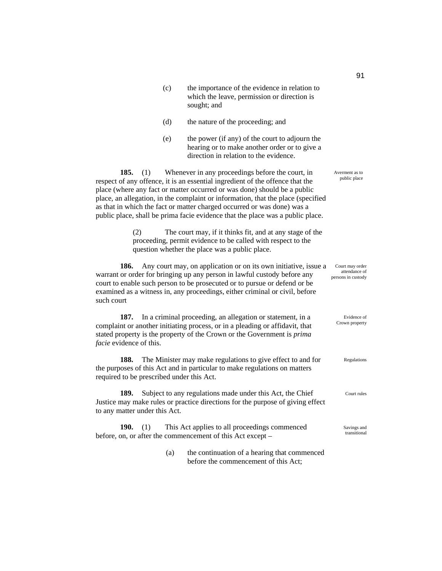| (c) | the importance of the evidence in relation to |
|-----|-----------------------------------------------|
|     | which the leave, permission or direction is   |
|     | sought; and                                   |

- (d) the nature of the proceeding; and
- (e) the power (if any) of the court to adjourn the hearing or to make another order or to give a direction in relation to the evidence.

**185.** (1) Whenever in any proceedings before the court, in respect of any offence, it is an essential ingredient of the offence that the place (where any fact or matter occurred or was done) should be a public place, an allegation, in the complaint or information, that the place (specified as that in which the fact or matter charged occurred or was done) was a public place, shall be prima facie evidence that the place was a public place.

> (2) The court may, if it thinks fit, and at any stage of the proceeding, permit evidence to be called with respect to the question whether the place was a public place.

**186.** Any court may, on application or on its own initiative, issue a warrant or order for bringing up any person in lawful custody before any court to enable such person to be prosecuted or to pursue or defend or be examined as a witness in, any proceedings, either criminal or civil, before such court Court may order attendance of persons in custody

**187.** In a criminal proceeding, an allegation or statement, in a complaint or another initiating process, or in a pleading or affidavit, that stated property is the property of the Crown or the Government is *prima facie* evidence of this. Evidence of Crown property

**188.** The Minister may make regulations to give effect to and for the purposes of this Act and in particular to make regulations on matters required to be prescribed under this Act.

**189.** Subject to any regulations made under this Act, the Chief Justice may make rules or practice directions for the purpose of giving effect to any matter under this Act.

**190.** (1) This Act applies to all proceedings commenced before, on, or after the commencement of this Act except –

> (a) the continuation of a hearing that commenced before the commencement of this Act;

Averment as to public place

Regulations

Court rules

Savings and transitional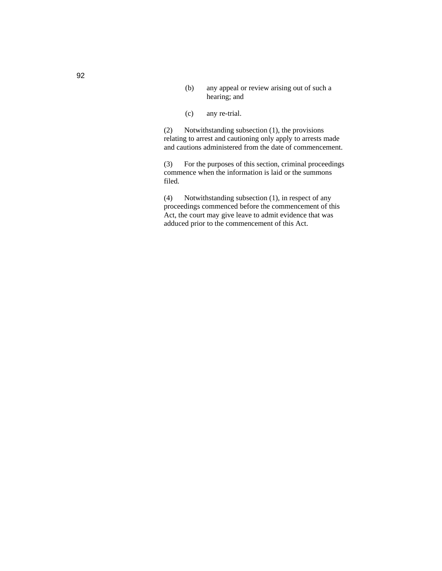- (b) any appeal or review arising out of such a hearing; and
- (c) any re-trial.

(2) Notwithstanding subsection (1), the provisions relating to arrest and cautioning only apply to arrests made and cautions administered from the date of commencement.

(3) For the purposes of this section, criminal proceedings commence when the information is laid or the summons filed.

(4) Notwithstanding subsection (1), in respect of any proceedings commenced before the commencement of this Act, the court may give leave to admit evidence that was adduced prior to the commencement of this Act.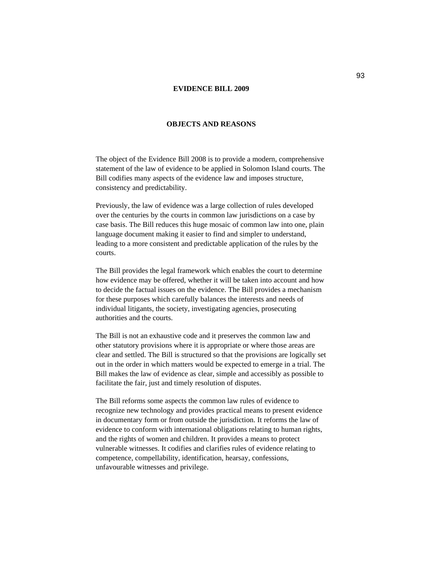### **EVIDENCE BILL 2009**

### **OBJECTS AND REASONS**

The object of the Evidence Bill 2008 is to provide a modern, comprehensive statement of the law of evidence to be applied in Solomon Island courts. The Bill codifies many aspects of the evidence law and imposes structure, consistency and predictability.

Previously, the law of evidence was a large collection of rules developed over the centuries by the courts in common law jurisdictions on a case by case basis. The Bill reduces this huge mosaic of common law into one, plain language document making it easier to find and simpler to understand, leading to a more consistent and predictable application of the rules by the courts.

The Bill provides the legal framework which enables the court to determine how evidence may be offered, whether it will be taken into account and how to decide the factual issues on the evidence. The Bill provides a mechanism for these purposes which carefully balances the interests and needs of individual litigants, the society, investigating agencies, prosecuting authorities and the courts.

The Bill is not an exhaustive code and it preserves the common law and other statutory provisions where it is appropriate or where those areas are clear and settled. The Bill is structured so that the provisions are logically set out in the order in which matters would be expected to emerge in a trial. The Bill makes the law of evidence as clear, simple and accessibly as possible to facilitate the fair, just and timely resolution of disputes.

The Bill reforms some aspects the common law rules of evidence to recognize new technology and provides practical means to present evidence in documentary form or from outside the jurisdiction. It reforms the law of evidence to conform with international obligations relating to human rights, and the rights of women and children. It provides a means to protect vulnerable witnesses. It codifies and clarifies rules of evidence relating to competence, compellability, identification, hearsay, confessions, unfavourable witnesses and privilege.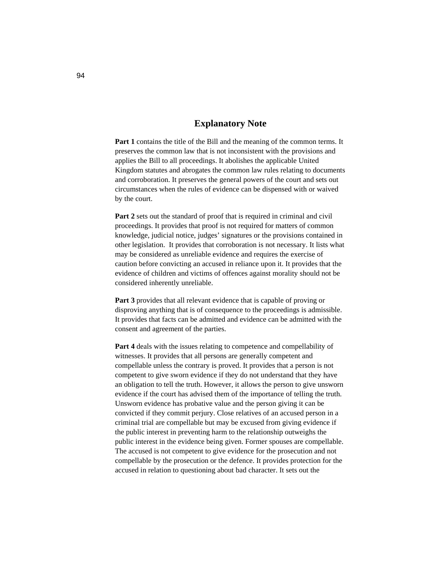# **Explanatory Note**

**Part 1** contains the title of the Bill and the meaning of the common terms. It preserves the common law that is not inconsistent with the provisions and applies the Bill to all proceedings. It abolishes the applicable United Kingdom statutes and abrogates the common law rules relating to documents and corroboration. It preserves the general powers of the court and sets out circumstances when the rules of evidence can be dispensed with or waived by the court.

**Part 2** sets out the standard of proof that is required in criminal and civil proceedings. It provides that proof is not required for matters of common knowledge, judicial notice, judges' signatures or the provisions contained in other legislation. It provides that corroboration is not necessary. It lists what may be considered as unreliable evidence and requires the exercise of caution before convicting an accused in reliance upon it. It provides that the evidence of children and victims of offences against morality should not be considered inherently unreliable.

**Part 3** provides that all relevant evidence that is capable of proving or disproving anything that is of consequence to the proceedings is admissible. It provides that facts can be admitted and evidence can be admitted with the consent and agreement of the parties.

**Part 4** deals with the issues relating to competence and compellability of witnesses. It provides that all persons are generally competent and compellable unless the contrary is proved. It provides that a person is not competent to give sworn evidence if they do not understand that they have an obligation to tell the truth. However, it allows the person to give unsworn evidence if the court has advised them of the importance of telling the truth. Unsworn evidence has probative value and the person giving it can be convicted if they commit perjury. Close relatives of an accused person in a criminal trial are compellable but may be excused from giving evidence if the public interest in preventing harm to the relationship outweighs the public interest in the evidence being given. Former spouses are compellable. The accused is not competent to give evidence for the prosecution and not compellable by the prosecution or the defence. It provides protection for the accused in relation to questioning about bad character. It sets out the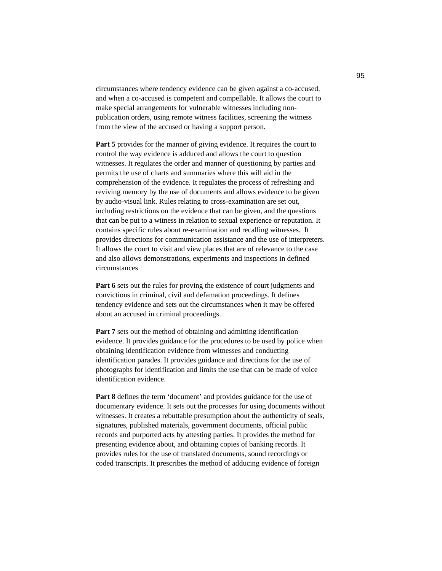circumstances where tendency evidence can be given against a co-accused, and when a co-accused is competent and compellable. It allows the court to make special arrangements for vulnerable witnesses including nonpublication orders, using remote witness facilities, screening the witness from the view of the accused or having a support person.

**Part 5** provides for the manner of giving evidence. It requires the court to control the way evidence is adduced and allows the court to question witnesses. It regulates the order and manner of questioning by parties and permits the use of charts and summaries where this will aid in the comprehension of the evidence. It regulates the process of refreshing and reviving memory by the use of documents and allows evidence to be given by audio-visual link. Rules relating to cross-examination are set out, including restrictions on the evidence that can be given, and the questions that can be put to a witness in relation to sexual experience or reputation. It contains specific rules about re-examination and recalling witnesses. It provides directions for communication assistance and the use of interpreters. It allows the court to visit and view places that are of relevance to the case and also allows demonstrations, experiments and inspections in defined circumstances

**Part 6** sets out the rules for proving the existence of court judgments and convictions in criminal, civil and defamation proceedings. It defines tendency evidence and sets out the circumstances when it may be offered about an accused in criminal proceedings.

**Part 7** sets out the method of obtaining and admitting identification evidence. It provides guidance for the procedures to be used by police when obtaining identification evidence from witnesses and conducting identification parades. It provides guidance and directions for the use of photographs for identification and limits the use that can be made of voice identification evidence.

Part 8 defines the term 'document' and provides guidance for the use of documentary evidence. It sets out the processes for using documents without witnesses. It creates a rebuttable presumption about the authenticity of seals, signatures, published materials, government documents, official public records and purported acts by attesting parties. It provides the method for presenting evidence about, and obtaining copies of banking records. It provides rules for the use of translated documents, sound recordings or coded transcripts. It prescribes the method of adducing evidence of foreign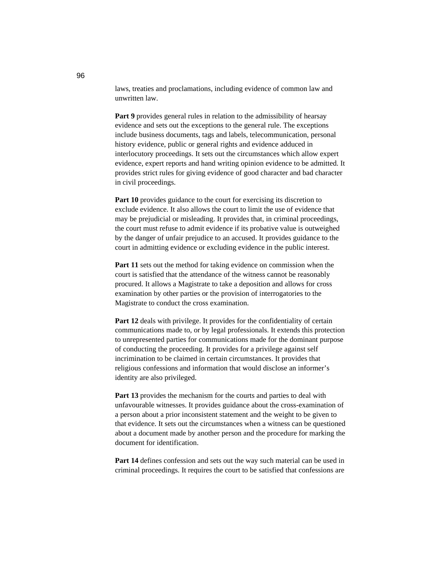laws, treaties and proclamations, including evidence of common law and unwritten law.

**Part 9** provides general rules in relation to the admissibility of hearsay evidence and sets out the exceptions to the general rule. The exceptions include business documents, tags and labels, telecommunication, personal history evidence, public or general rights and evidence adduced in interlocutory proceedings. It sets out the circumstances which allow expert evidence, expert reports and hand writing opinion evidence to be admitted. It provides strict rules for giving evidence of good character and bad character in civil proceedings.

**Part 10** provides guidance to the court for exercising its discretion to exclude evidence. It also allows the court to limit the use of evidence that may be prejudicial or misleading. It provides that, in criminal proceedings, the court must refuse to admit evidence if its probative value is outweighed by the danger of unfair prejudice to an accused. It provides guidance to the court in admitting evidence or excluding evidence in the public interest.

Part 11 sets out the method for taking evidence on commission when the court is satisfied that the attendance of the witness cannot be reasonably procured. It allows a Magistrate to take a deposition and allows for cross examination by other parties or the provision of interrogatories to the Magistrate to conduct the cross examination.

Part 12 deals with privilege. It provides for the confidentiality of certain communications made to, or by legal professionals. It extends this protection to unrepresented parties for communications made for the dominant purpose of conducting the proceeding. It provides for a privilege against self incrimination to be claimed in certain circumstances. It provides that religious confessions and information that would disclose an informer's identity are also privileged.

**Part 13** provides the mechanism for the courts and parties to deal with unfavourable witnesses. It provides guidance about the cross-examination of a person about a prior inconsistent statement and the weight to be given to that evidence. It sets out the circumstances when a witness can be questioned about a document made by another person and the procedure for marking the document for identification.

**Part 14** defines confession and sets out the way such material can be used in criminal proceedings. It requires the court to be satisfied that confessions are

96